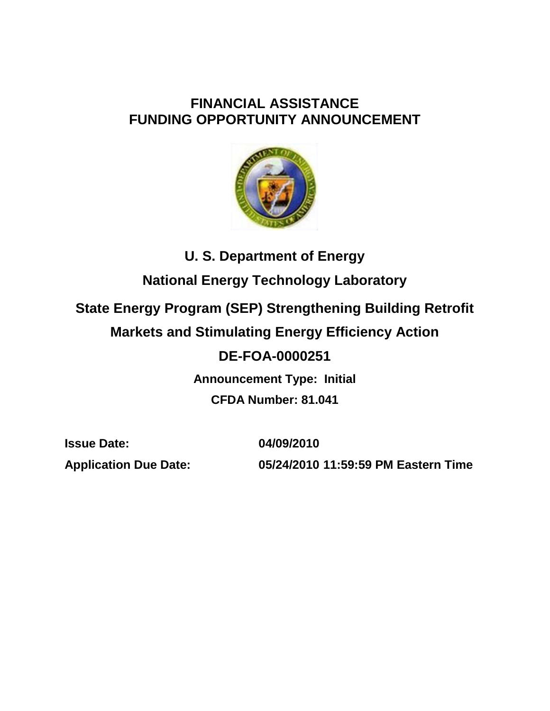# **FINANCIAL ASSISTANCE FUNDING OPPORTUNITY ANNOUNCEMENT**



# **U. S. Department of Energy National Energy Technology Laboratory State Energy Program (SEP) Strengthening Building Retrofit Markets and Stimulating Energy Efficiency Action DE-FOA-0000251 Announcement Type: Initial CFDA Number: 81.041**

**Issue Date: 04/09/2010**

**Application Due Date: 05/24/2010 11:59:59 PM Eastern Time**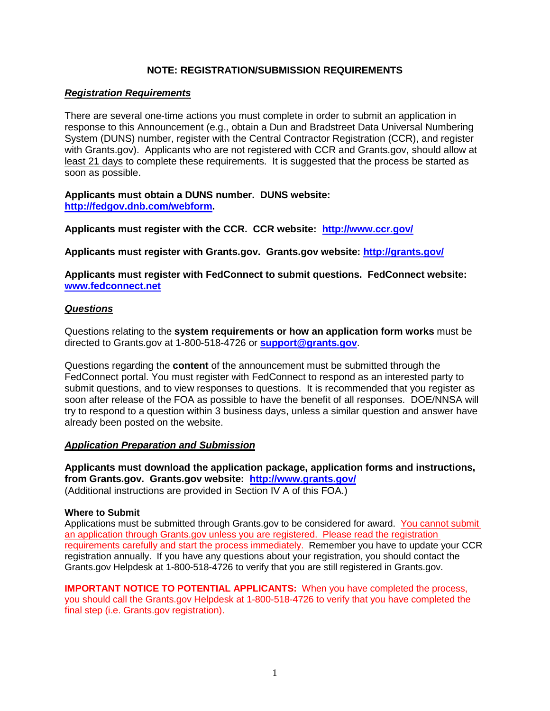# **NOTE: REGISTRATION/SUBMISSION REQUIREMENTS**

# *Registration Requirements*

There are several one-time actions you must complete in order to submit an application in response to this Announcement (e.g., obtain a Dun and Bradstreet Data Universal Numbering System (DUNS) number, register with the Central Contractor Registration (CCR), and register with Grants.gov). Applicants who are not registered with CCR and Grants.gov, should allow at least 21 days to complete these requirements. It is suggested that the process be started as soon as possible.

**Applicants must obtain a DUNS number. DUNS website: [http://fedgov.dnb.com/webform.](http://fedgov.dnb.com/webform)**

**Applicants must register with the CCR. CCR website: <http://www.ccr.gov/>**

**Applicants must register with Grants.gov. Grants.gov website:<http://grants.gov/>**

**Applicants must register with FedConnect to submit questions. FedConnect website: [www.fedconnect.net](http://www.fedconnect.net/)**

# *Questions*

Questions relating to the **system requirements or how an application form works** must be directed to Grants.gov at 1-800-518-4726 or **[support@grants.gov](mailto:support@grants.gov)**.

Questions regarding the **content** of the announcement must be submitted through the FedConnect portal. You must register with FedConnect to respond as an interested party to submit questions, and to view responses to questions. It is recommended that you register as soon after release of the FOA as possible to have the benefit of all responses. DOE/NNSA will try to respond to a question within 3 business days, unless a similar question and answer have already been posted on the website.

# *Application Preparation and Submission*

**Applicants must download the application package, application forms and instructions, from Grants.gov. Grants.gov website: <http://www.grants.gov/>** (Additional instructions are provided in Section IV A of this FOA.)

# **Where to Submit**

Applications must be submitted through Grants.gov to be considered for award. You cannot submit an application through Grants.gov unless you are registered. Please read the registration requirements carefully and start the process immediately. Remember you have to update your CCR registration annually. If you have any questions about your registration, you should contact the Grants.gov Helpdesk at 1-800-518-4726 to verify that you are still registered in Grants.gov.

**IMPORTANT NOTICE TO POTENTIAL APPLICANTS:** When you have completed the process, you should call the Grants.gov Helpdesk at 1-800-518-4726 to verify that you have completed the final step (i.e. Grants.gov registration).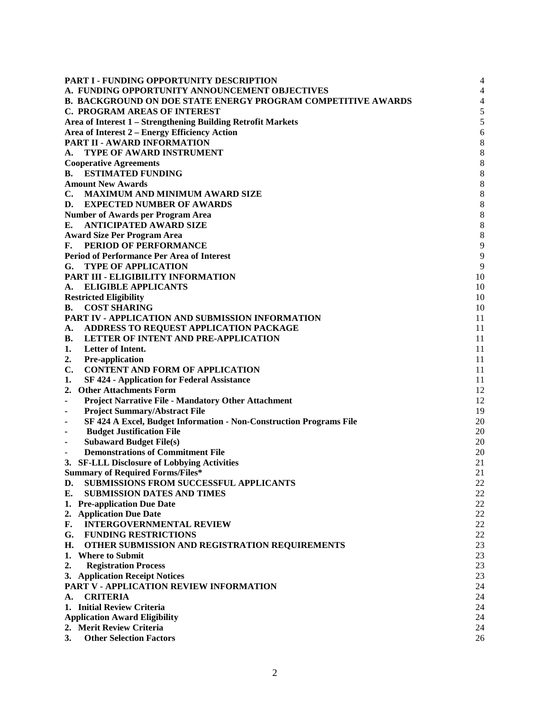| <b>PART I - FUNDING OPPORTUNITY DESCRIPTION</b>                          | $\overline{4}$   |
|--------------------------------------------------------------------------|------------------|
| A. FUNDING OPPORTUNITY ANNOUNCEMENT OBJECTIVES                           | $\overline{4}$   |
| <b>B. BACKGROUND ON DOE STATE ENERGY PROGRAM COMPETITIVE AWARDS</b>      | $\overline{4}$   |
| C. PROGRAM AREAS OF INTEREST                                             | 5                |
| Area of Interest 1 - Strengthening Building Retrofit Markets             | 5                |
| Area of Interest 2 - Energy Efficiency Action                            | 6                |
| PART II - AWARD INFORMATION                                              | $\,$ 8 $\,$      |
| <b>TYPE OF AWARD INSTRUMENT</b><br>А.                                    | $\,8\,$          |
| <b>Cooperative Agreements</b>                                            | 8                |
| <b>ESTIMATED FUNDING</b><br>В.                                           | $\,$ 8 $\,$      |
| <b>Amount New Awards</b>                                                 | 8                |
| $\mathbf{C}$ .<br><b>MAXIMUM AND MINIMUM AWARD SIZE</b>                  | $\boldsymbol{8}$ |
| D.<br><b>EXPECTED NUMBER OF AWARDS</b>                                   | $\boldsymbol{8}$ |
| <b>Number of Awards per Program Area</b>                                 | 8                |
| <b>ANTICIPATED AWARD SIZE</b><br>Е.                                      | 8                |
| <b>Award Size Per Program Area</b>                                       | 8                |
| PERIOD OF PERFORMANCE<br>F.                                              | 9                |
| <b>Period of Performance Per Area of Interest</b>                        | 9                |
| <b>TYPE OF APPLICATION</b><br>G.                                         | 9                |
| PART III - ELIGIBILITY INFORMATION                                       | 10               |
| <b>ELIGIBLE APPLICANTS</b><br>A.                                         | 10               |
| <b>Restricted Eligibility</b>                                            | 10               |
| <b>COST SHARING</b><br>В.                                                | 10               |
| PART IV - APPLICATION AND SUBMISSION INFORMATION                         | 11               |
| ADDRESS TO REQUEST APPLICATION PACKAGE<br>A.                             | 11               |
| LETTER OF INTENT AND PRE-APPLICATION<br>В.                               | 11               |
| Letter of Intent.<br>1.                                                  | 11               |
| Pre-application<br>2.                                                    | 11               |
| <b>CONTENT AND FORM OF APPLICATION</b><br>C.                             | 11               |
| <b>SF 424 - Application for Federal Assistance</b><br>1.                 | 11               |
| <b>Other Attachments Form</b><br>2.                                      | 12               |
| <b>Project Narrative File - Mandatory Other Attachment</b><br>٠          | 12               |
| <b>Project Summary/Abstract File</b><br>$\blacksquare$                   | 19               |
| SF 424 A Excel, Budget Information - Non-Construction Programs File<br>٠ | 20               |
| <b>Budget Justification File</b><br>٠                                    | 20               |
| <b>Subaward Budget File(s)</b><br>$\blacksquare$                         | 20               |
| <b>Demonstrations of Commitment File</b>                                 | 20               |
| 3. SF-LLL Disclosure of Lobbying Activities                              | 21               |
| <b>Summary of Required Forms/Files*</b>                                  | 21               |
| <b>SUBMISSIONS FROM SUCCESSFUL APPLICANTS</b><br>D.                      | 22               |
| Е.<br><b>SUBMISSION DATES AND TIMES</b>                                  | 22               |
| 1. Pre-application Due Date                                              | 22               |
| 2. Application Due Date                                                  | 22               |
| <b>INTERGOVERNMENTAL REVIEW</b><br>F.                                    | 22               |
| G.<br><b>FUNDING RESTRICTIONS</b>                                        | 22               |
| OTHER SUBMISSION AND REGISTRATION REQUIREMENTS<br>Н.                     | 23               |
| <b>Where to Submit</b><br>1.                                             | 23               |
| <b>Registration Process</b><br>2.                                        | 23               |
| 3. Application Receipt Notices                                           | 23               |
| PART V - APPLICATION REVIEW INFORMATION                                  | 24               |
| <b>CRITERIA</b><br>A.                                                    | 24               |
| 1. Initial Review Criteria                                               | 24               |
| <b>Application Award Eligibility</b>                                     | 24               |
| 2. Merit Review Criteria                                                 | 24               |
| <b>Other Selection Factors</b><br>3.                                     | 26               |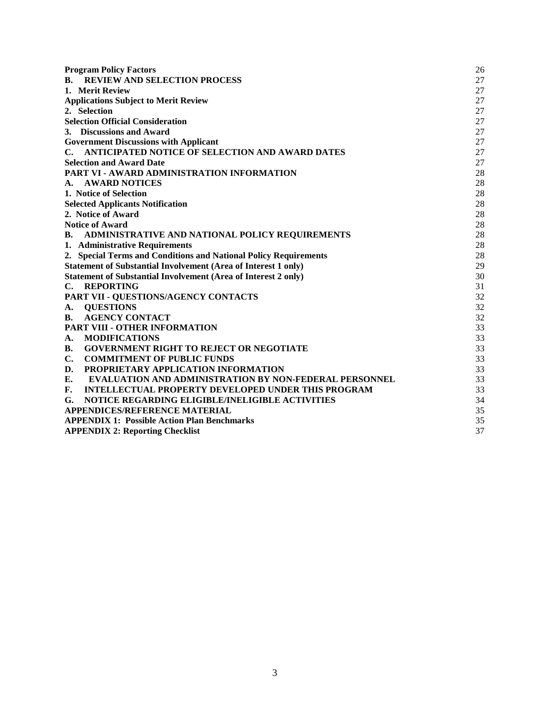| <b>Program Policy Factors</b>                                         | 26 |  |
|-----------------------------------------------------------------------|----|--|
| <b>REVIEW AND SELECTION PROCESS</b><br><b>B.</b>                      | 27 |  |
| 1. Merit Review                                                       | 27 |  |
| <b>Applications Subject to Merit Review</b>                           |    |  |
| 2. Selection                                                          | 27 |  |
| <b>Selection Official Consideration</b>                               | 27 |  |
| 3. Discussions and Award                                              | 27 |  |
| <b>Government Discussions with Applicant</b>                          | 27 |  |
| ANTICIPATED NOTICE OF SELECTION AND AWARD DATES<br>$\mathbf{C}$ .     | 27 |  |
| <b>Selection and Award Date</b>                                       | 27 |  |
| PART VI - AWARD ADMINISTRATION INFORMATION                            | 28 |  |
| <b>AWARD NOTICES</b><br>A.                                            | 28 |  |
| 1. Notice of Selection                                                | 28 |  |
| <b>Selected Applicants Notification</b>                               | 28 |  |
| 2. Notice of Award                                                    | 28 |  |
| <b>Notice of Award</b>                                                | 28 |  |
| ADMINISTRATIVE AND NATIONAL POLICY REQUIREMENTS<br>В.                 | 28 |  |
| 1. Administrative Requirements                                        | 28 |  |
| 2. Special Terms and Conditions and National Policy Requirements      | 28 |  |
| Statement of Substantial Involvement (Area of Interest 1 only)        | 29 |  |
| <b>Statement of Substantial Involvement (Area of Interest 2 only)</b> | 30 |  |
| <b>REPORTING</b><br>$\mathbf{C}$ .                                    | 31 |  |
| PART VII - QUESTIONS/AGENCY CONTACTS                                  | 32 |  |
| <b>QUESTIONS</b><br>A.                                                | 32 |  |
| <b>AGENCY CONTACT</b><br>В.                                           | 32 |  |
| PART VIII - OTHER INFORMATION                                         | 33 |  |
| <b>MODIFICATIONS</b><br>A.                                            | 33 |  |
| <b>GOVERNMENT RIGHT TO REJECT OR NEGOTIATE</b><br>В.                  | 33 |  |
| $\mathbf{C}$ .<br><b>COMMITMENT OF PUBLIC FUNDS</b>                   | 33 |  |
| PROPRIETARY APPLICATION INFORMATION<br>D.                             | 33 |  |
| E.<br><b>EVALUATION AND ADMINISTRATION BY NON-FEDERAL PERSONNEL</b>   | 33 |  |
| F.<br><b>INTELLECTUAL PROPERTY DEVELOPED UNDER THIS PROGRAM</b>       | 33 |  |
| NOTICE REGARDING ELIGIBLE/INELIGIBLE ACTIVITIES<br>G.                 | 34 |  |
| <b>APPENDICES/REFERENCE MATERIAL</b>                                  | 35 |  |
| <b>APPENDIX 1: Possible Action Plan Benchmarks</b>                    | 35 |  |
| <b>APPENDIX 2: Reporting Checklist</b>                                | 37 |  |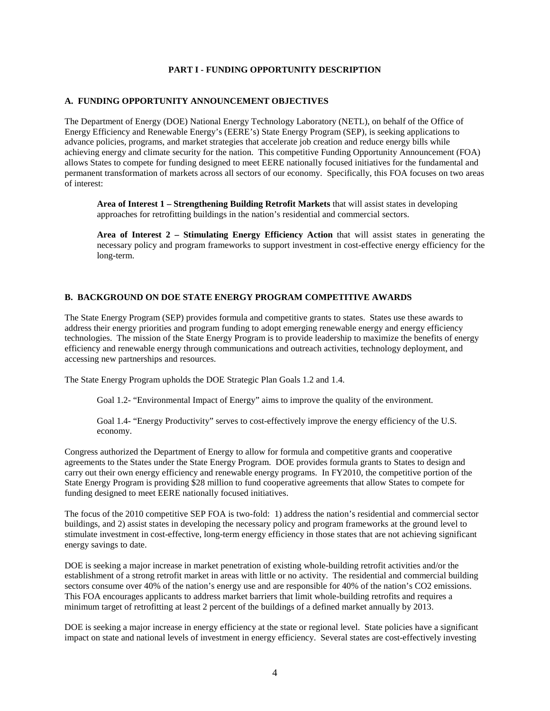# **PART I - FUNDING OPPORTUNITY DESCRIPTION**

### <span id="page-4-1"></span><span id="page-4-0"></span>**A. FUNDING OPPORTUNITY ANNOUNCEMENT OBJECTIVES**

The Department of Energy (DOE) National Energy Technology Laboratory (NETL), on behalf of the Office of Energy Efficiency and Renewable Energy's (EERE's) State Energy Program (SEP), is seeking applications to advance policies, programs, and market strategies that accelerate job creation and reduce energy bills while achieving energy and climate security for the nation. This competitive Funding Opportunity Announcement (FOA) allows States to compete for funding designed to meet EERE nationally focused initiatives for the fundamental and permanent transformation of markets across all sectors of our economy. Specifically, this FOA focuses on two areas of interest:

**Area of Interest 1 – Strengthening Building Retrofit Markets** that will assist states in developing approaches for retrofitting buildings in the nation's residential and commercial sectors.

**Area of Interest 2 – Stimulating Energy Efficiency Action** that will assist states in generating the necessary policy and program frameworks to support investment in cost-effective energy efficiency for the long-term.

# <span id="page-4-2"></span>**B. BACKGROUND ON DOE STATE ENERGY PROGRAM COMPETITIVE AWARDS**

The State Energy Program (SEP) provides formula and competitive grants to states. States use these awards to address their energy priorities and program funding to adopt emerging renewable energy and energy efficiency technologies. The mission of the State Energy Program is to provide leadership to maximize the benefits of energy efficiency and renewable energy through communications and outreach activities, technology deployment, and accessing new partnerships and resources.

The State Energy Program upholds the DOE Strategic Plan Goals 1.2 and 1.4.

Goal 1.2- "Environmental Impact of Energy" aims to improve the quality of the environment.

Goal 1.4- "Energy Productivity" serves to cost-effectively improve the energy efficiency of the U.S. economy.

Congress authorized the Department of Energy to allow for formula and competitive grants and cooperative agreements to the States under the State Energy Program. DOE provides formula grants to States to design and carry out their own energy efficiency and renewable energy programs. In FY2010, the competitive portion of the State Energy Program is providing \$28 million to fund cooperative agreements that allow States to compete for funding designed to meet EERE nationally focused initiatives.

The focus of the 2010 competitive SEP FOA is two-fold: 1) address the nation's residential and commercial sector buildings, and 2) assist states in developing the necessary policy and program frameworks at the ground level to stimulate investment in cost-effective, long-term energy efficiency in those states that are not achieving significant energy savings to date.

DOE is seeking a major increase in market penetration of existing whole-building retrofit activities and/or the establishment of a strong retrofit market in areas with little or no activity. The residential and commercial building sectors consume over 40% of the nation's energy use and are responsible for 40% of the nation's CO2 emissions. This FOA encourages applicants to address market barriers that limit whole-building retrofits and requires a minimum target of retrofitting at least 2 percent of the buildings of a defined market annually by 2013.

DOE is seeking a major increase in energy efficiency at the state or regional level. State policies have a significant impact on state and national levels of investment in energy efficiency. Several states are cost-effectively investing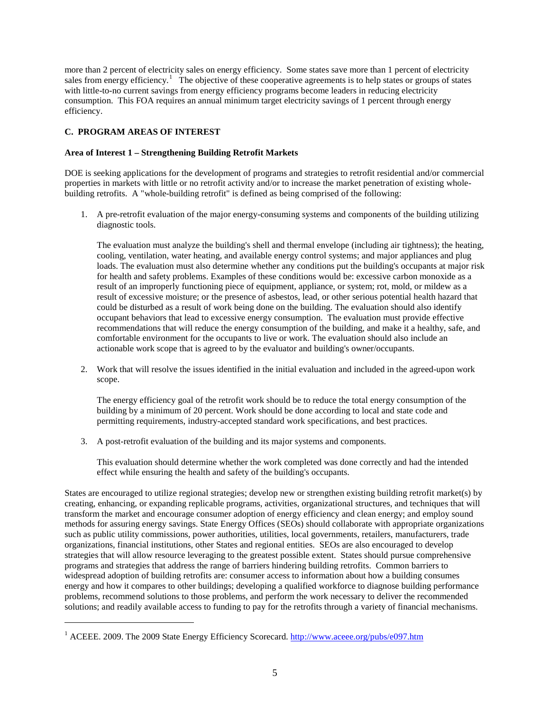more than 2 percent of electricity sales on energy efficiency. Some states save more than 1 percent of electricity sales from energy efficiency.<sup>[1](#page-5-2)</sup> The objective of these cooperative agreements is to help states or groups of states with little-to-no current savings from energy efficiency programs become leaders in reducing electricity consumption. This FOA requires an annual minimum target electricity savings of 1 percent through energy efficiency.

# <span id="page-5-0"></span>**C. PROGRAM AREAS OF INTEREST**

 $\overline{a}$ 

# <span id="page-5-1"></span>**Area of Interest 1 – Strengthening Building Retrofit Markets**

DOE is seeking applications for the development of programs and strategies to retrofit residential and/or commercial properties in markets with little or no retrofit activity and/or to increase the market penetration of existing wholebuilding retrofits. A "whole-building retrofit" is defined as being comprised of the following:

1. A pre-retrofit evaluation of the major energy-consuming systems and components of the building utilizing diagnostic tools.

The evaluation must analyze the building's shell and thermal envelope (including air tightness); the heating, cooling, ventilation, water heating, and available energy control systems; and major appliances and plug loads. The evaluation must also determine whether any conditions put the building's occupants at major risk for health and safety problems. Examples of these conditions would be: excessive carbon monoxide as a result of an improperly functioning piece of equipment, appliance, or system; rot, mold, or mildew as a result of excessive moisture; or the presence of asbestos, lead, or other serious potential health hazard that could be disturbed as a result of work being done on the building. The evaluation should also identify occupant behaviors that lead to excessive energy consumption. The evaluation must provide effective recommendations that will reduce the energy consumption of the building, and make it a healthy, safe, and comfortable environment for the occupants to live or work. The evaluation should also include an actionable work scope that is agreed to by the evaluator and building's owner/occupants.

2. Work that will resolve the issues identified in the initial evaluation and included in the agreed-upon work scope.

The energy efficiency goal of the retrofit work should be to reduce the total energy consumption of the building by a minimum of 20 percent. Work should be done according to local and state code and permitting requirements, industry-accepted standard work specifications, and best practices.

3. A post-retrofit evaluation of the building and its major systems and components.

This evaluation should determine whether the work completed was done correctly and had the intended effect while ensuring the health and safety of the building's occupants.

States are encouraged to utilize regional strategies; develop new or strengthen existing building retrofit market(s) by creating, enhancing, or expanding replicable programs, activities, organizational structures, and techniques that will transform the market and encourage consumer adoption of energy efficiency and clean energy; and employ sound methods for assuring energy savings. State Energy Offices (SEOs) should collaborate with appropriate organizations such as public utility commissions, power authorities, utilities, local governments, retailers, manufacturers, trade organizations, financial institutions, other States and regional entities. SEOs are also encouraged to develop strategies that will allow resource leveraging to the greatest possible extent. States should pursue comprehensive programs and strategies that address the range of barriers hindering building retrofits. Common barriers to widespread adoption of building retrofits are: consumer access to information about how a building consumes energy and how it compares to other buildings; developing a qualified workforce to diagnose building performance problems, recommend solutions to those problems, and perform the work necessary to deliver the recommended solutions; and readily available access to funding to pay for the retrofits through a variety of financial mechanisms.

<span id="page-5-2"></span><sup>&</sup>lt;sup>1</sup> ACEEE. 2009. The 2009 State Energy Efficiency Scorecard.<http://www.aceee.org/pubs/e097.htm>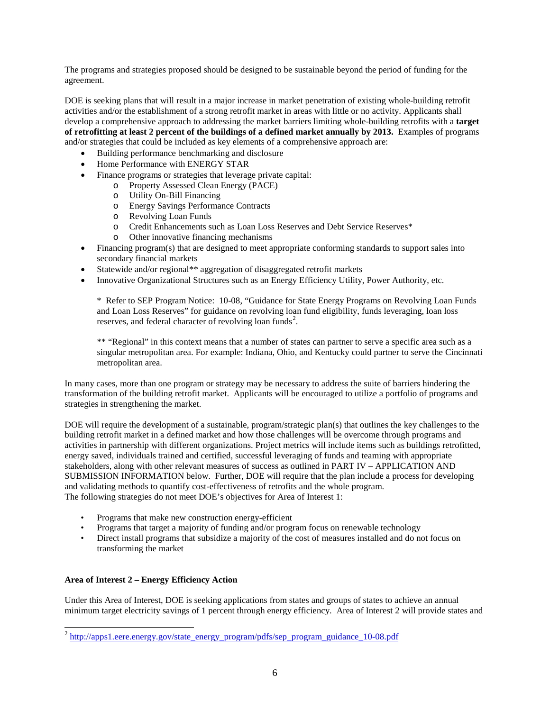The programs and strategies proposed should be designed to be sustainable beyond the period of funding for the agreement.

DOE is seeking plans that will result in a major increase in market penetration of existing whole-building retrofit activities and/or the establishment of a strong retrofit market in areas with little or no activity. Applicants shall develop a comprehensive approach to addressing the market barriers limiting whole-building retrofits with a **target of retrofitting at least 2 percent of the buildings of a defined market annually by 2013.** Examples of programs and/or strategies that could be included as key elements of a comprehensive approach are:

- Building performance benchmarking and disclosure
- Home Performance with ENERGY STAR
- Finance programs or strategies that leverage private capital:
	- o Property Assessed Clean Energy (PACE)
		- o Utility On-Bill Financing
		- o Energy Savings Performance Contracts
		- o Revolving Loan Funds
		- o Credit Enhancements such as Loan Loss Reserves and Debt Service Reserves<sup>\*</sup> o Other innovative financing mechanisms
		- Other innovative financing mechanisms
- Financing program(s) that are designed to meet appropriate conforming standards to support sales into secondary financial markets
- Statewide and/or regional\*\* aggregation of disaggregated retrofit markets
- Innovative Organizational Structures such as an Energy Efficiency Utility, Power Authority, etc.

\* Refer to SEP Program Notice: 10-08, "Guidance for State Energy Programs on Revolving Loan Funds and Loan Loss Reserves" for guidance on revolving loan fund eligibility, funds leveraging, loan loss reserves, and federal character of revolving loan funds<sup>[2](#page-6-1)</sup>.

\*\* "Regional" in this context means that a number of states can partner to serve a specific area such as a singular metropolitan area. For example: Indiana, Ohio, and Kentucky could partner to serve the Cincinnati metropolitan area.

In many cases, more than one program or strategy may be necessary to address the suite of barriers hindering the transformation of the building retrofit market. Applicants will be encouraged to utilize a portfolio of programs and strategies in strengthening the market.

DOE will require the development of a sustainable, program/strategic plan(s) that outlines the key challenges to the building retrofit market in a defined market and how those challenges will be overcome through programs and activities in partnership with different organizations. Project metrics will include items such as buildings retrofitted, energy saved, individuals trained and certified, successful leveraging of funds and teaming with appropriate stakeholders, along with other relevant measures of success as outlined in PART IV – APPLICATION AND SUBMISSION INFORMATION below. Further, DOE will require that the plan include a process for developing and validating methods to quantify cost-effectiveness of retrofits and the whole program. The following strategies do not meet DOE's objectives for Area of Interest 1:

- Programs that make new construction energy-efficient
- Programs that target a majority of funding and/or program focus on renewable technology
- Direct install programs that subsidize a majority of the cost of measures installed and do not focus on transforming the market

# <span id="page-6-0"></span>**Area of Interest 2 – Energy Efficiency Action**

Under this Area of Interest, DOE is seeking applications from states and groups of states to achieve an annual minimum target electricity savings of 1 percent through energy efficiency. Area of Interest 2 will provide states and

<span id="page-6-1"></span> $^2$  [http://apps1.eere.energy.gov/state\\_energy\\_program/pdfs/sep\\_program\\_guidance\\_10-08.pdf](http://apps1.eere.energy.gov/state_energy_program/pdfs/sep_program_guidance_10-08.pdf)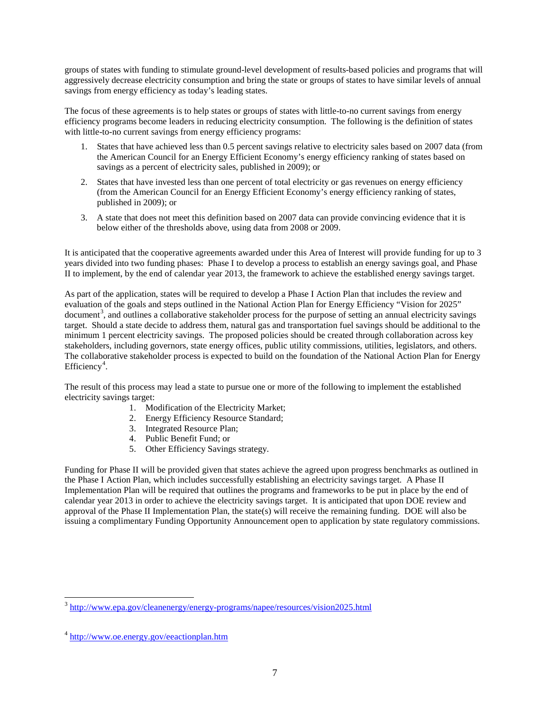groups of states with funding to stimulate ground-level development of results-based policies and programs that will aggressively decrease electricity consumption and bring the state or groups of states to have similar levels of annual savings from energy efficiency as today's leading states.

The focus of these agreements is to help states or groups of states with little-to-no current savings from energy efficiency programs become leaders in reducing electricity consumption. The following is the definition of states with little-to-no current savings from energy efficiency programs:

- 1. States that have achieved less than 0.5 percent savings relative to electricity sales based on 2007 data (from the American Council for an Energy Efficient Economy's energy efficiency ranking of states based on savings as a percent of electricity sales, published in 2009); or
- 2. States that have invested less than one percent of total electricity or gas revenues on energy efficiency (from the American Council for an Energy Efficient Economy's energy efficiency ranking of states, published in 2009); or
- 3. A state that does not meet this definition based on 2007 data can provide convincing evidence that it is below either of the thresholds above, using data from 2008 or 2009.

It is anticipated that the cooperative agreements awarded under this Area of Interest will provide funding for up to 3 years divided into two funding phases: Phase I to develop a process to establish an energy savings goal, and Phase II to implement, by the end of calendar year 2013, the framework to achieve the established energy savings target.

As part of the application, states will be required to develop a Phase I Action Plan that includes the review and evaluation of the goals and steps outlined in the National Action Plan for Energy Efficiency "Vision for 2025" document<sup>[3](#page-7-0)</sup>, and outlines a collaborative stakeholder process for the purpose of setting an annual electricity savings target. Should a state decide to address them, natural gas and transportation fuel savings should be additional to the minimum 1 percent electricity savings. The proposed policies should be created through collaboration across key stakeholders, including governors, state energy offices, public utility commissions, utilities, legislators, and others. The collaborative stakeholder process is expected to build on the foundation of the National Action Plan for Energy Efficiency<sup>[4](#page-7-1)</sup>.

The result of this process may lead a state to pursue one or more of the following to implement the established electricity savings target:

- 1. Modification of the Electricity Market;
- 2. Energy Efficiency Resource Standard;
- 3. Integrated Resource Plan;
- 4. Public Benefit Fund; or
- 5. Other Efficiency Savings strategy.

Funding for Phase II will be provided given that states achieve the agreed upon progress benchmarks as outlined in the Phase I Action Plan, which includes successfully establishing an electricity savings target. A Phase II Implementation Plan will be required that outlines the programs and frameworks to be put in place by the end of calendar year 2013 in order to achieve the electricity savings target. It is anticipated that upon DOE review and approval of the Phase II Implementation Plan, the state(s) will receive the remaining funding. DOE will also be issuing a complimentary Funding Opportunity Announcement open to application by state regulatory commissions.

<span id="page-7-0"></span> <sup>3</sup> <http://www.epa.gov/cleanenergy/energy-programs/napee/resources/vision2025.html>

<span id="page-7-1"></span><sup>4</sup> <http://www.oe.energy.gov/eeactionplan.htm>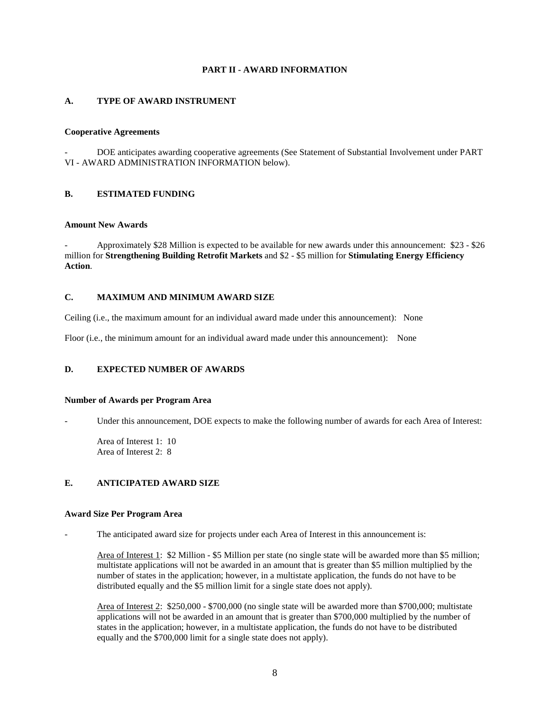# **PART II - AWARD INFORMATION**

### <span id="page-8-1"></span><span id="page-8-0"></span>**A. TYPE OF AWARD INSTRUMENT**

#### <span id="page-8-2"></span>**Cooperative Agreements**

- DOE anticipates awarding cooperative agreements (See Statement of Substantial Involvement under PART VI - AWARD ADMINISTRATION INFORMATION below).

#### <span id="page-8-3"></span>**B. ESTIMATED FUNDING**

#### <span id="page-8-4"></span>**Amount New Awards**

Approximately \$28 Million is expected to be available for new awards under this announcement: \$23 - \$26 million for **Strengthening Building Retrofit Markets** and \$2 - \$5 million for **Stimulating Energy Efficiency Action**.

# <span id="page-8-5"></span>**C. MAXIMUM AND MINIMUM AWARD SIZE**

Ceiling (i.e., the maximum amount for an individual award made under this announcement): None

Floor (i.e., the minimum amount for an individual award made under this announcement): None

#### <span id="page-8-6"></span>**D. EXPECTED NUMBER OF AWARDS**

#### <span id="page-8-7"></span>**Number of Awards per Program Area**

Under this announcement, DOE expects to make the following number of awards for each Area of Interest:

Area of Interest 1: 10 Area of Interest 2: 8

#### <span id="page-8-8"></span>**E. ANTICIPATED AWARD SIZE**

#### <span id="page-8-9"></span>**Award Size Per Program Area**

The anticipated award size for projects under each Area of Interest in this announcement is:

Area of Interest 1: \$2 Million - \$5 Million per state (no single state will be awarded more than \$5 million; multistate applications will not be awarded in an amount that is greater than \$5 million multiplied by the number of states in the application; however, in a multistate application, the funds do not have to be distributed equally and the \$5 million limit for a single state does not apply).

Area of Interest 2: \$250,000 - \$700,000 (no single state will be awarded more than \$700,000; multistate applications will not be awarded in an amount that is greater than \$700,000 multiplied by the number of states in the application; however, in a multistate application, the funds do not have to be distributed equally and the \$700,000 limit for a single state does not apply).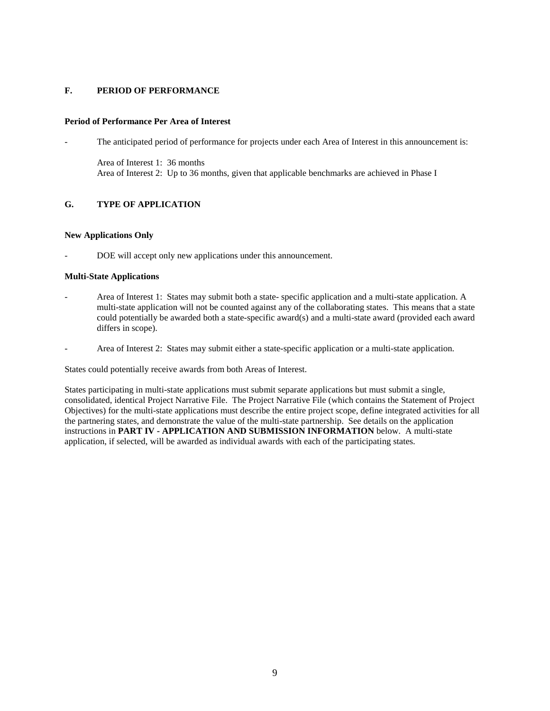# <span id="page-9-0"></span>**F. PERIOD OF PERFORMANCE**

#### <span id="page-9-1"></span>**Period of Performance Per Area of Interest**

- The anticipated period of performance for projects under each Area of Interest in this announcement is:
	- Area of Interest 1: 36 months Area of Interest 2: Up to 36 months, given that applicable benchmarks are achieved in Phase I

# <span id="page-9-2"></span>**G. TYPE OF APPLICATION**

#### **New Applications Only**

DOE will accept only new applications under this announcement.

#### **Multi-State Applications**

- Area of Interest 1: States may submit both a state- specific application and a multi-state application. A multi-state application will not be counted against any of the collaborating states. This means that a state could potentially be awarded both a state-specific award(s) and a multi-state award (provided each award differs in scope).
- Area of Interest 2: States may submit either a state-specific application or a multi-state application.

States could potentially receive awards from both Areas of Interest.

States participating in multi-state applications must submit separate applications but must submit a single, consolidated, identical Project Narrative File. The Project Narrative File (which contains the Statement of Project Objectives) for the multi-state applications must describe the entire project scope, define integrated activities for all the partnering states, and demonstrate the value of the multi-state partnership. See details on the application instructions in **PART IV - APPLICATION AND SUBMISSION INFORMATION** below. A multi-state application, if selected, will be awarded as individual awards with each of the participating states.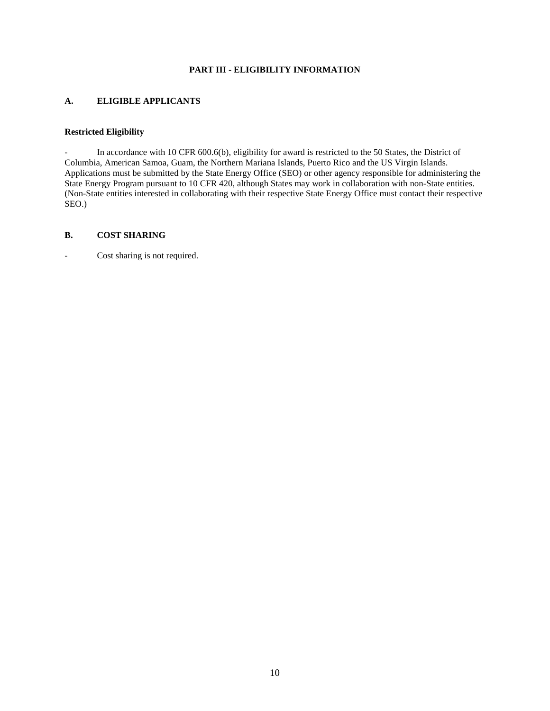# **PART III - ELIGIBILITY INFORMATION**

# <span id="page-10-1"></span><span id="page-10-0"></span>**A. ELIGIBLE APPLICANTS**

# <span id="page-10-2"></span>**Restricted Eligibility**

In accordance with 10 CFR 600.6(b), eligibility for award is restricted to the 50 States, the District of Columbia, American Samoa, Guam, the Northern Mariana Islands, Puerto Rico and the US Virgin Islands. Applications must be submitted by the State Energy Office (SEO) or other agency responsible for administering the State Energy Program pursuant to 10 CFR 420, although States may work in collaboration with non-State entities. (Non-State entities interested in collaborating with their respective State Energy Office must contact their respective SEO.)

#### <span id="page-10-3"></span>**B. COST SHARING**

- Cost sharing is not required.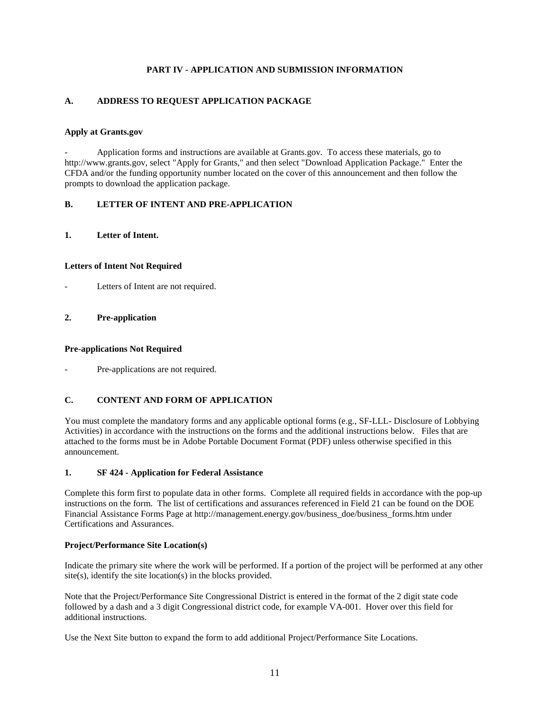# **PART IV - APPLICATION AND SUBMISSION INFORMATION**

# <span id="page-11-1"></span><span id="page-11-0"></span>**A. ADDRESS TO REQUEST APPLICATION PACKAGE**

### **Apply at Grants.gov**

- Application forms and instructions are available at Grants.gov. To access these materials, go to http://www.grants.gov, select "Apply for Grants," and then select "Download Application Package." Enter the CFDA and/or the funding opportunity number located on the cover of this announcement and then follow the prompts to download the application package.

# <span id="page-11-2"></span>**B. LETTER OF INTENT AND PRE-APPLICATION**

# <span id="page-11-3"></span>**1. Letter of Intent.**

#### **Letters of Intent Not Required**

Letters of Intent are not required.

#### <span id="page-11-4"></span>**2. Pre-application**

#### **Pre-applications Not Required**

Pre-applications are not required.

# <span id="page-11-5"></span>**C. CONTENT AND FORM OF APPLICATION**

You must complete the mandatory forms and any applicable optional forms (e.g., SF-LLL- Disclosure of Lobbying Activities) in accordance with the instructions on the forms and the additional instructions below. Files that are attached to the forms must be in Adobe Portable Document Format (PDF) unless otherwise specified in this announcement.

# <span id="page-11-6"></span>**1. SF 424 - Application for Federal Assistance**

Complete this form first to populate data in other forms. Complete all required fields in accordance with the pop-up instructions on the form. The list of certifications and assurances referenced in Field 21 can be found on the DOE Financial Assistance Forms Page at http://management.energy.gov/business\_doe/business\_forms.htm under Certifications and Assurances.

#### **Project/Performance Site Location(s)**

Indicate the primary site where the work will be performed. If a portion of the project will be performed at any other site(s), identify the site location(s) in the blocks provided.

Note that the Project/Performance Site Congressional District is entered in the format of the 2 digit state code followed by a dash and a 3 digit Congressional district code, for example VA-001. Hover over this field for additional instructions.

Use the Next Site button to expand the form to add additional Project/Performance Site Locations.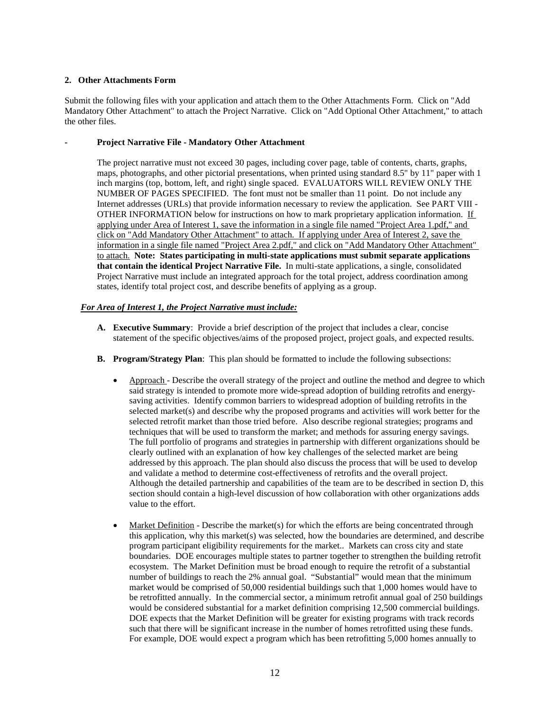# <span id="page-12-0"></span>**2. Other Attachments Form**

Submit the following files with your application and attach them to the Other Attachments Form. Click on "Add Mandatory Other Attachment" to attach the Project Narrative. Click on "Add Optional Other Attachment," to attach the other files.

#### <span id="page-12-1"></span>**- Project Narrative File - Mandatory Other Attachment**

The project narrative must not exceed 30 pages, including cover page, table of contents, charts, graphs, maps, photographs, and other pictorial presentations, when printed using standard 8.5" by 11" paper with 1 inch margins (top, bottom, left, and right) single spaced. EVALUATORS WILL REVIEW ONLY THE NUMBER OF PAGES SPECIFIED. The font must not be smaller than 11 point. Do not include any Internet addresses (URLs) that provide information necessary to review the application. See PART VIII - OTHER INFORMATION below for instructions on how to mark proprietary application information. If applying under Area of Interest 1, save the information in a single file named "Project Area 1.pdf," and click on "Add Mandatory Other Attachment" to attach. If applying under Area of Interest 2, save the information in a single file named "Project Area 2.pdf," and click on "Add Mandatory Other Attachment" to attach. **Note: States participating in multi-state applications must submit separate applications that contain the identical Project Narrative File.** In multi-state applications, a single, consolidated Project Narrative must include an integrated approach for the total project, address coordination among states, identify total project cost, and describe benefits of applying as a group.

#### *For Area of Interest 1, the Project Narrative must include:*

- **A. Executive Summary**: Provide a brief description of the project that includes a clear, concise statement of the specific objectives/aims of the proposed project, project goals, and expected results.
- **B. Program/Strategy Plan**: This plan should be formatted to include the following subsections:
	- Approach Describe the overall strategy of the project and outline the method and degree to which said strategy is intended to promote more wide-spread adoption of building retrofits and energysaving activities. Identify common barriers to widespread adoption of building retrofits in the selected market(s) and describe why the proposed programs and activities will work better for the selected retrofit market than those tried before. Also describe regional strategies; programs and techniques that will be used to transform the market; and methods for assuring energy savings. The full portfolio of programs and strategies in partnership with different organizations should be clearly outlined with an explanation of how key challenges of the selected market are being addressed by this approach. The plan should also discuss the process that will be used to develop and validate a method to determine cost-effectiveness of retrofits and the overall project. Although the detailed partnership and capabilities of the team are to be described in section D, this section should contain a high-level discussion of how collaboration with other organizations adds value to the effort.
	- Market Definition Describe the market(s) for which the efforts are being concentrated through this application, why this market(s) was selected, how the boundaries are determined, and describe program participant eligibility requirements for the market.. Markets can cross city and state boundaries. DOE encourages multiple states to partner together to strengthen the building retrofit ecosystem. The Market Definition must be broad enough to require the retrofit of a substantial number of buildings to reach the 2% annual goal. "Substantial" would mean that the minimum market would be comprised of 50,000 residential buildings such that 1,000 homes would have to be retrofitted annually. In the commercial sector, a minimum retrofit annual goal of 250 buildings would be considered substantial for a market definition comprising 12,500 commercial buildings. DOE expects that the Market Definition will be greater for existing programs with track records such that there will be significant increase in the number of homes retrofitted using these funds. For example, DOE would expect a program which has been retrofitting 5,000 homes annually to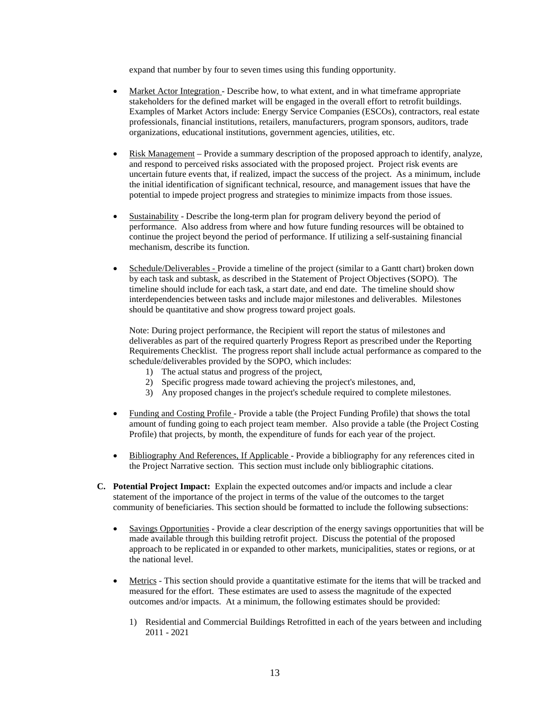expand that number by four to seven times using this funding opportunity.

- Market Actor Integration Describe how, to what extent, and in what timeframe appropriate stakeholders for the defined market will be engaged in the overall effort to retrofit buildings. Examples of Market Actors include: Energy Service Companies (ESCOs), contractors, real estate professionals, financial institutions, retailers, manufacturers, program sponsors, auditors, trade organizations, educational institutions, government agencies, utilities, etc.
- Risk Management Provide a summary description of the proposed approach to identify, analyze, and respond to perceived risks associated with the proposed project. Project risk events are uncertain future events that, if realized, impact the success of the project. As a minimum, include the initial identification of significant technical, resource, and management issues that have the potential to impede project progress and strategies to minimize impacts from those issues.
- Sustainability Describe the long-term plan for program delivery beyond the period of performance. Also address from where and how future funding resources will be obtained to continue the project beyond the period of performance. If utilizing a self-sustaining financial mechanism, describe its function.
- Schedule/Deliverables Provide a timeline of the project (similar to a Gantt chart) broken down by each task and subtask, as described in the Statement of Project Objectives (SOPO). The timeline should include for each task, a start date, and end date. The timeline should show interdependencies between tasks and include major milestones and deliverables. Milestones should be quantitative and show progress toward project goals.

Note: During project performance, the Recipient will report the status of milestones and deliverables as part of the required quarterly Progress Report as prescribed under the Reporting Requirements Checklist. The progress report shall include actual performance as compared to the schedule/deliverables provided by the SOPO, which includes:

- 1) The actual status and progress of the project,
- 2) Specific progress made toward achieving the project's milestones, and,
- 3) Any proposed changes in the project's schedule required to complete milestones.
- Funding and Costing Profile Provide a table (the Project Funding Profile) that shows the total amount of funding going to each project team member. Also provide a table (the Project Costing Profile) that projects, by month, the expenditure of funds for each year of the project.
- Bibliography And References, If Applicable Provide a bibliography for any references cited in the Project Narrative section. This section must include only bibliographic citations.
- **C. Potential Project Impact:** Explain the expected outcomes and/or impacts and include a clear statement of the importance of the project in terms of the value of the outcomes to the target community of beneficiaries. This section should be formatted to include the following subsections:
	- Savings Opportunities Provide a clear description of the energy savings opportunities that will be made available through this building retrofit project. Discuss the potential of the proposed approach to be replicated in or expanded to other markets, municipalities, states or regions, or at the national level.
	- Metrics This section should provide a quantitative estimate for the items that will be tracked and measured for the effort. These estimates are used to assess the magnitude of the expected outcomes and/or impacts. At a minimum, the following estimates should be provided:
		- 1) Residential and Commercial Buildings Retrofitted in each of the years between and including 2011 - 2021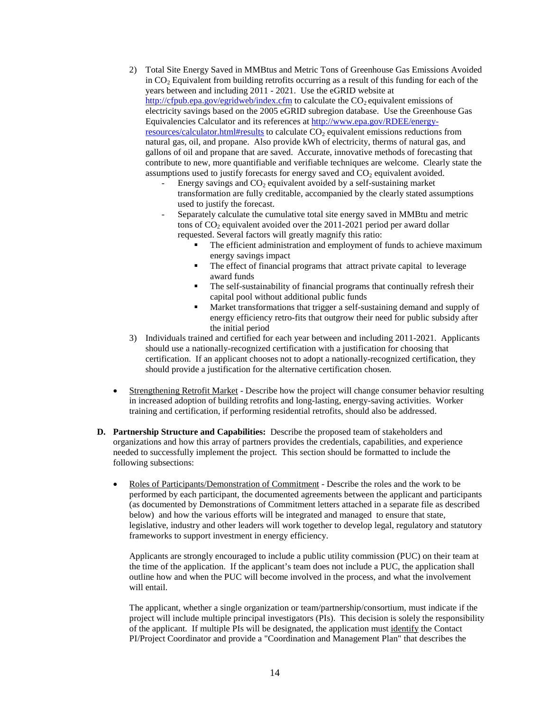- 2) Total Site Energy Saved in MMBtus and Metric Tons of Greenhouse Gas Emissions Avoided in CO2 Equivalent from building retrofits occurring as a result of this funding for each of the years between and including 2011 - 2021. Use the eGRID website at <http://cfpub.epa.gov/egridweb/index.cfm> to calculate the  $CO_2$  equivalent emissions of electricity savings based on the 2005 eGRID subregion database. Use the Greenhouse Gas Equivalencies Calculator and its references at [http://www.epa.gov/RDEE/energy](http://www.epa.gov/RDEE/energy-resources/calculator.html#results)[resources/calculator.html#results](http://www.epa.gov/RDEE/energy-resources/calculator.html#results) to calculate  $CO<sub>2</sub>$  equivalent emissions reductions from natural gas, oil, and propane. Also provide kWh of electricity, therms of natural gas, and gallons of oil and propane that are saved. Accurate, innovative methods of forecasting that contribute to new, more quantifiable and verifiable techniques are welcome. Clearly state the assumptions used to justify forecasts for energy saved and  $CO<sub>2</sub>$  equivalent avoided.
	- Energy savings and  $CO<sub>2</sub>$  equivalent avoided by a self-sustaining market transformation are fully creditable, accompanied by the clearly stated assumptions used to justify the forecast.
	- Separately calculate the cumulative total site energy saved in MMBtu and metric tons of  $CO<sub>2</sub>$  equivalent avoided over the 2011-2021 period per award dollar requested. Several factors will greatly magnify this ratio:
		- The efficient administration and employment of funds to achieve maximum energy savings impact
		- The effect of financial programs that attract private capital to leverage award funds
		- The self-sustainability of financial programs that continually refresh their capital pool without additional public funds
		- Market transformations that trigger a self-sustaining demand and supply of energy efficiency retro-fits that outgrow their need for public subsidy after the initial period
- 3) Individuals trained and certified for each year between and including 2011-2021. Applicants should use a nationally-recognized certification with a justification for choosing that certification. If an applicant chooses not to adopt a nationally-recognized certification, they should provide a justification for the alternative certification chosen.
- Strengthening Retrofit Market Describe how the project will change consumer behavior resulting in increased adoption of building retrofits and long-lasting, energy-saving activities. Worker training and certification, if performing residential retrofits, should also be addressed.
- **D. Partnership Structure and Capabilities:** Describe the proposed team of stakeholders and organizations and how this array of partners provides the credentials, capabilities, and experience needed to successfully implement the project. This section should be formatted to include the following subsections:
	- Roles of Participants/Demonstration of Commitment Describe the roles and the work to be performed by each participant, the documented agreements between the applicant and participants (as documented by Demonstrations of Commitment letters attached in a separate file as described below) and how the various efforts will be integrated and managed to ensure that state, legislative, industry and other leaders will work together to develop legal, regulatory and statutory frameworks to support investment in energy efficiency.

Applicants are strongly encouraged to include a public utility commission (PUC) on their team at the time of the application. If the applicant's team does not include a PUC, the application shall outline how and when the PUC will become involved in the process, and what the involvement will entail.

The applicant, whether a single organization or team/partnership/consortium, must indicate if the project will include multiple principal investigators (PIs). This decision is solely the responsibility of the applicant. If multiple PIs will be designated, the application must identify the Contact PI/Project Coordinator and provide a "Coordination and Management Plan" that describes the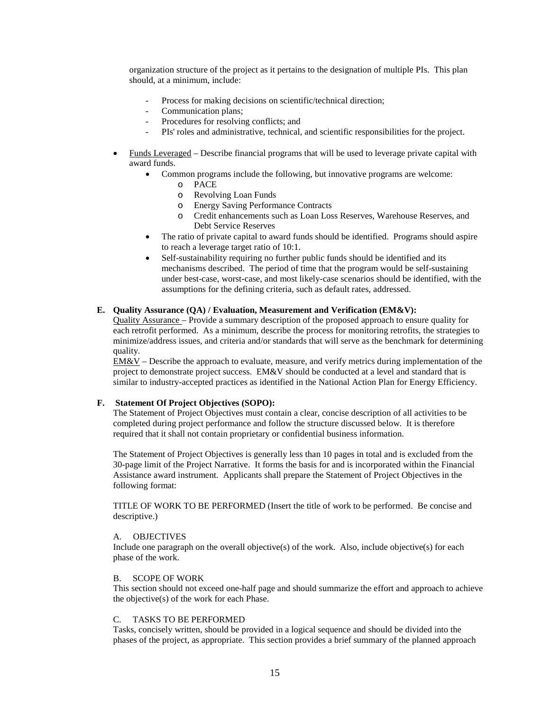organization structure of the project as it pertains to the designation of multiple PIs. This plan should, at a minimum, include:

- Process for making decisions on scientific/technical direction;
- Communication plans;
- Procedures for resolving conflicts; and
- PIs' roles and administrative, technical, and scientific responsibilities for the project.
- Funds Leveraged Describe financial programs that will be used to leverage private capital with award funds.
	- Common programs include the following, but innovative programs are welcome:
		- o PACE
		- o Revolving Loan Funds
		- o Energy Saving Performance Contracts
		- Credit enhancements such as Loan Loss Reserves, Warehouse Reserves, and Debt Service Reserves
	- The ratio of private capital to award funds should be identified. Programs should aspire to reach a leverage target ratio of 10:1.
	- Self-sustainability requiring no further public funds should be identified and its mechanisms described. The period of time that the program would be self-sustaining under best-case, worst-case, and most likely-case scenarios should be identified, with the assumptions for the defining criteria, such as default rates, addressed.

#### **E. Quality Assurance (QA) / Evaluation, Measurement and Verification (EM&V):**

Quality Assurance – Provide a summary description of the proposed approach to ensure quality for each retrofit performed. As a minimum, describe the process for monitoring retrofits, the strategies to minimize/address issues, and criteria and/or standards that will serve as the benchmark for determining quality.

 $EM&V$  – Describe the approach to evaluate, measure, and verify metrics during implementation of the project to demonstrate project success. EM&V should be conducted at a level and standard that is similar to industry-accepted practices as identified in the National Action Plan for Energy Efficiency.

#### **F. Statement Of Project Objectives (SOPO):**

The Statement of Project Objectives must contain a clear, concise description of all activities to be completed during project performance and follow the structure discussed below. It is therefore required that it shall not contain proprietary or confidential business information.

The Statement of Project Objectives is generally less than 10 pages in total and is excluded from the 30-page limit of the Project Narrative. It forms the basis for and is incorporated within the Financial Assistance award instrument. Applicants shall prepare the Statement of Project Objectives in the following format:

TITLE OF WORK TO BE PERFORMED (Insert the title of work to be performed. Be concise and descriptive.)

#### A. OBJECTIVES

Include one paragraph on the overall objective(s) of the work. Also, include objective(s) for each phase of the work.

#### B. SCOPE OF WORK

This section should not exceed one-half page and should summarize the effort and approach to achieve the objective(s) of the work for each Phase.

#### C. TASKS TO BE PERFORMED

Tasks, concisely written, should be provided in a logical sequence and should be divided into the phases of the project, as appropriate. This section provides a brief summary of the planned approach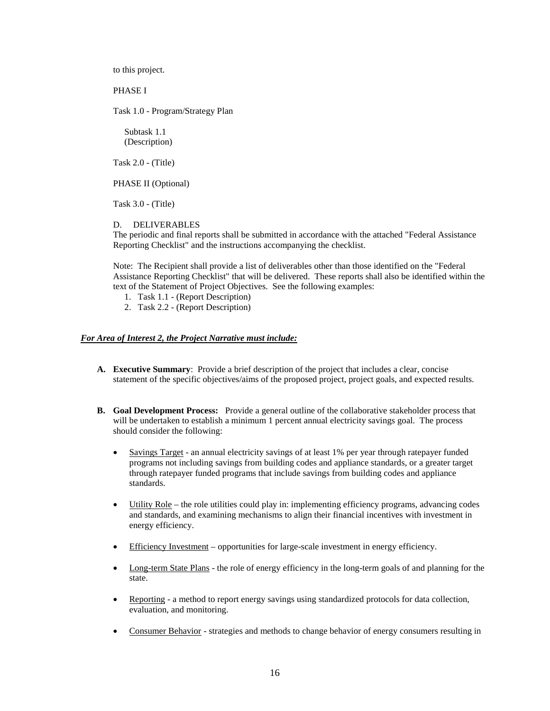to this project.

PHASE I

Task 1.0 - Program/Strategy Plan

 Subtask 1.1 (Description)

Task 2.0 - (Title)

PHASE II (Optional)

Task 3.0 - (Title)

#### D. DELIVERABLES

The periodic and final reports shall be submitted in accordance with the attached "Federal Assistance Reporting Checklist" and the instructions accompanying the checklist.

Note: The Recipient shall provide a list of deliverables other than those identified on the "Federal Assistance Reporting Checklist" that will be delivered. These reports shall also be identified within the text of the Statement of Project Objectives. See the following examples:

- 1. Task 1.1 (Report Description)
- 2. Task 2.2 (Report Description)

#### *For Area of Interest 2, the Project Narrative must include:*

- **A. Executive Summary**: Provide a brief description of the project that includes a clear, concise statement of the specific objectives/aims of the proposed project, project goals, and expected results.
- **B. Goal Development Process:** Provide a general outline of the collaborative stakeholder process that will be undertaken to establish a minimum 1 percent annual electricity savings goal. The process should consider the following:
	- Savings Target an annual electricity savings of at least 1% per year through ratepayer funded programs not including savings from building codes and appliance standards, or a greater target through ratepayer funded programs that include savings from building codes and appliance standards.
	- Utility Role the role utilities could play in: implementing efficiency programs, advancing codes and standards, and examining mechanisms to align their financial incentives with investment in energy efficiency.
	- Efficiency Investment opportunities for large-scale investment in energy efficiency.
	- Long-term State Plans the role of energy efficiency in the long-term goals of and planning for the state.
	- Reporting a method to report energy savings using standardized protocols for data collection, evaluation, and monitoring.
	- Consumer Behavior strategies and methods to change behavior of energy consumers resulting in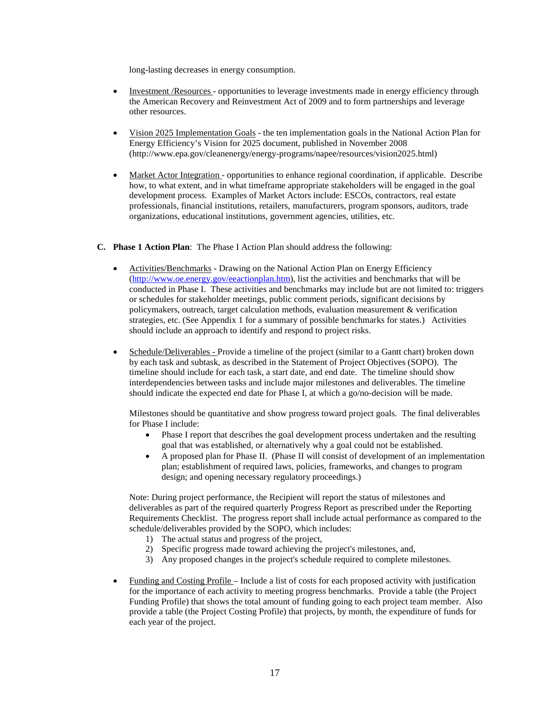long-lasting decreases in energy consumption.

- Investment /Resources opportunities to leverage investments made in energy efficiency through the American Recovery and Reinvestment Act of 2009 and to form partnerships and leverage other resources.
- Vision 2025 Implementation Goals the ten implementation goals in the National Action Plan for Energy Efficiency's Vision for 2025 document, published in November 2008 (http://www.epa.gov/cleanenergy/energy-programs/napee/resources/vision2025.html)
- Market Actor Integration opportunities to enhance regional coordination, if applicable. Describe how, to what extent, and in what timeframe appropriate stakeholders will be engaged in the goal development process. Examples of Market Actors include: ESCOs, contractors, real estate professionals, financial institutions, retailers, manufacturers, program sponsors, auditors, trade organizations, educational institutions, government agencies, utilities, etc.

#### **C. Phase 1 Action Plan**: The Phase I Action Plan should address the following:

- Activities/Benchmarks Drawing on the National Action Plan on Energy Efficiency [\(http://www.oe.energy.gov/eeactionplan.htm\)](http://www.oe.energy.gov/eeactionplan.htm), list the activities and benchmarks that will be conducted in Phase I. These activities and benchmarks may include but are not limited to: triggers or schedules for stakeholder meetings, public comment periods, significant decisions by policymakers, outreach, target calculation methods, evaluation measurement & verification strategies, etc. (See Appendix 1 for a summary of possible benchmarks for states.) Activities should include an approach to identify and respond to project risks.
- Schedule/Deliverables Provide a timeline of the project (similar to a Gantt chart) broken down by each task and subtask, as described in the Statement of Project Objectives (SOPO). The timeline should include for each task, a start date, and end date. The timeline should show interdependencies between tasks and include major milestones and deliverables. The timeline should indicate the expected end date for Phase I, at which a go/no-decision will be made.

Milestones should be quantitative and show progress toward project goals. The final deliverables for Phase I include:

- Phase I report that describes the goal development process undertaken and the resulting goal that was established, or alternatively why a goal could not be established.
- A proposed plan for Phase II. (Phase II will consist of development of an implementation plan; establishment of required laws, policies, frameworks, and changes to program design; and opening necessary regulatory proceedings.)

Note: During project performance, the Recipient will report the status of milestones and deliverables as part of the required quarterly Progress Report as prescribed under the Reporting Requirements Checklist. The progress report shall include actual performance as compared to the schedule/deliverables provided by the SOPO, which includes:

- 1) The actual status and progress of the project,
- 2) Specific progress made toward achieving the project's milestones, and,
- 3) Any proposed changes in the project's schedule required to complete milestones.
- Funding and Costing Profile Include a list of costs for each proposed activity with justification for the importance of each activity to meeting progress benchmarks. Provide a table (the Project Funding Profile) that shows the total amount of funding going to each project team member. Also provide a table (the Project Costing Profile) that projects, by month, the expenditure of funds for each year of the project.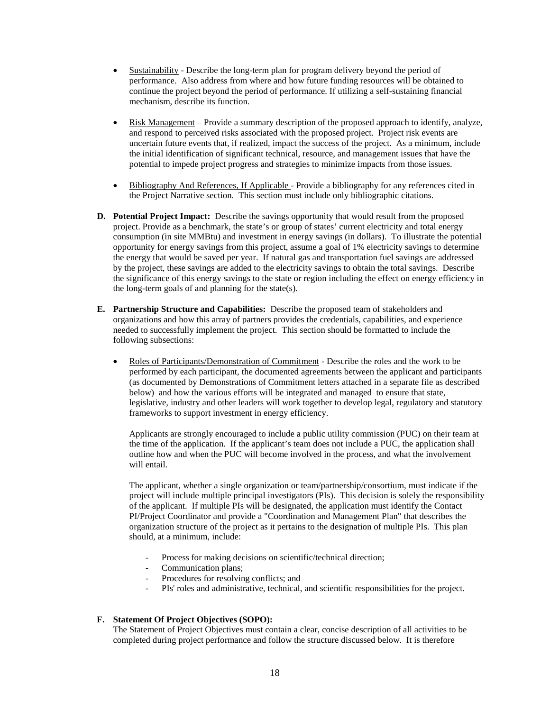- Sustainability Describe the long-term plan for program delivery beyond the period of performance. Also address from where and how future funding resources will be obtained to continue the project beyond the period of performance. If utilizing a self-sustaining financial mechanism, describe its function.
- Risk Management Provide a summary description of the proposed approach to identify, analyze, and respond to perceived risks associated with the proposed project. Project risk events are uncertain future events that, if realized, impact the success of the project. As a minimum, include the initial identification of significant technical, resource, and management issues that have the potential to impede project progress and strategies to minimize impacts from those issues.
- Bibliography And References, If Applicable Provide a bibliography for any references cited in the Project Narrative section. This section must include only bibliographic citations.
- **D. Potential Project Impact:** Describe the savings opportunity that would result from the proposed project. Provide as a benchmark, the state's or group of states' current electricity and total energy consumption (in site MMBtu) and investment in energy savings (in dollars). To illustrate the potential opportunity for energy savings from this project, assume a goal of 1% electricity savings to determine the energy that would be saved per year. If natural gas and transportation fuel savings are addressed by the project, these savings are added to the electricity savings to obtain the total savings. Describe the significance of this energy savings to the state or region including the effect on energy efficiency in the long-term goals of and planning for the state(s).
- **E. Partnership Structure and Capabilities:** Describe the proposed team of stakeholders and organizations and how this array of partners provides the credentials, capabilities, and experience needed to successfully implement the project. This section should be formatted to include the following subsections:
	- Roles of Participants/Demonstration of Commitment Describe the roles and the work to be performed by each participant, the documented agreements between the applicant and participants (as documented by Demonstrations of Commitment letters attached in a separate file as described below) and how the various efforts will be integrated and managed to ensure that state, legislative, industry and other leaders will work together to develop legal, regulatory and statutory frameworks to support investment in energy efficiency.

Applicants are strongly encouraged to include a public utility commission (PUC) on their team at the time of the application. If the applicant's team does not include a PUC, the application shall outline how and when the PUC will become involved in the process, and what the involvement will entail.

The applicant, whether a single organization or team/partnership/consortium, must indicate if the project will include multiple principal investigators (PIs). This decision is solely the responsibility of the applicant. If multiple PIs will be designated, the application must identify the Contact PI/Project Coordinator and provide a "Coordination and Management Plan" that describes the organization structure of the project as it pertains to the designation of multiple PIs. This plan should, at a minimum, include:

- Process for making decisions on scientific/technical direction;
- Communication plans;
- Procedures for resolving conflicts; and
- PIs' roles and administrative, technical, and scientific responsibilities for the project.

# **F. Statement Of Project Objectives (SOPO):**

The Statement of Project Objectives must contain a clear, concise description of all activities to be completed during project performance and follow the structure discussed below. It is therefore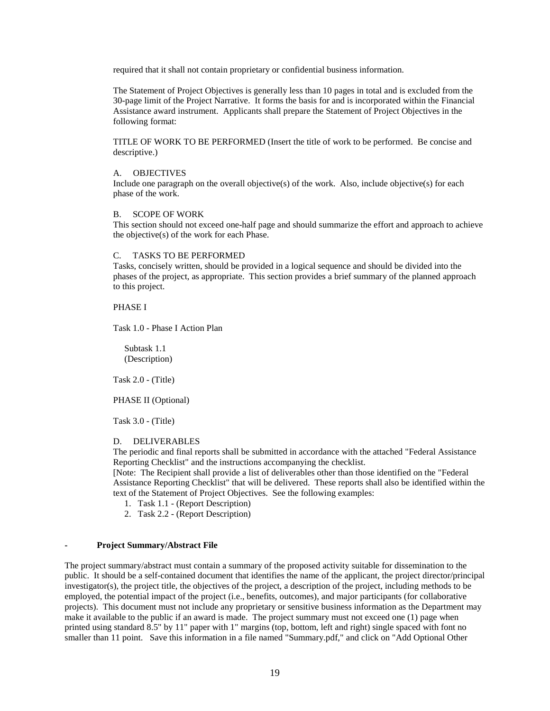required that it shall not contain proprietary or confidential business information.

The Statement of Project Objectives is generally less than 10 pages in total and is excluded from the 30-page limit of the Project Narrative. It forms the basis for and is incorporated within the Financial Assistance award instrument. Applicants shall prepare the Statement of Project Objectives in the following format:

TITLE OF WORK TO BE PERFORMED (Insert the title of work to be performed. Be concise and descriptive.)

#### A. OBJECTIVES

Include one paragraph on the overall objective(s) of the work. Also, include objective(s) for each phase of the work.

#### B. SCOPE OF WORK

This section should not exceed one-half page and should summarize the effort and approach to achieve the objective(s) of the work for each Phase.

#### C. TASKS TO BE PERFORMED

Tasks, concisely written, should be provided in a logical sequence and should be divided into the phases of the project, as appropriate. This section provides a brief summary of the planned approach to this project.

#### PHASE I

Task 1.0 - Phase I Action Plan

 Subtask 1.1 (Description)

Task 2.0 - (Title)

PHASE II (Optional)

Task 3.0 - (Title)

#### D. DELIVERABLES

The periodic and final reports shall be submitted in accordance with the attached "Federal Assistance Reporting Checklist" and the instructions accompanying the checklist.

[Note: The Recipient shall provide a list of deliverables other than those identified on the "Federal Assistance Reporting Checklist" that will be delivered. These reports shall also be identified within the text of the Statement of Project Objectives. See the following examples:

- 1. Task 1.1 (Report Description)
- 2. Task 2.2 (Report Description)

#### <span id="page-19-0"></span>**- Project Summary/Abstract File**

The project summary/abstract must contain a summary of the proposed activity suitable for dissemination to the public. It should be a self-contained document that identifies the name of the applicant, the project director/principal investigator(s), the project title, the objectives of the project, a description of the project, including methods to be employed, the potential impact of the project (i.e., benefits, outcomes), and major participants (for collaborative projects). This document must not include any proprietary or sensitive business information as the Department may make it available to the public if an award is made. The project summary must not exceed one (1) page when printed using standard 8.5" by 11" paper with 1" margins (top, bottom, left and right) single spaced with font no smaller than 11 point. Save this information in a file named "Summary.pdf," and click on "Add Optional Other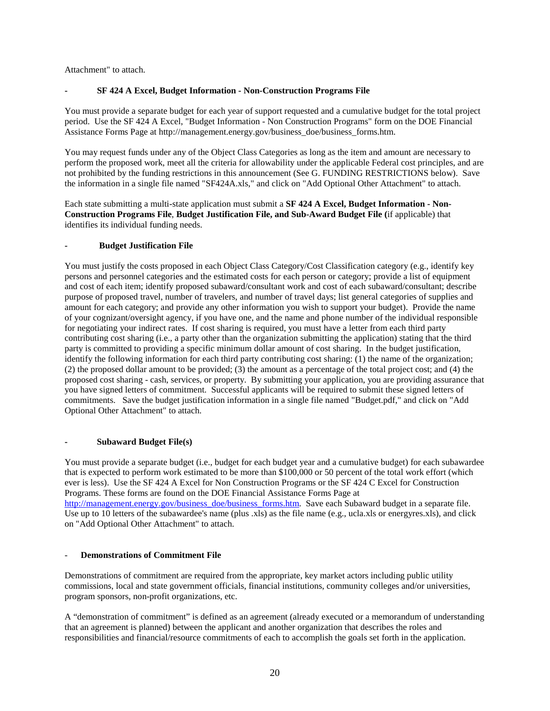Attachment" to attach.

# <span id="page-20-0"></span>**- SF 424 A Excel, Budget Information - Non-Construction Programs File**

You must provide a separate budget for each year of support requested and a cumulative budget for the total project period. Use the SF 424 A Excel, "Budget Information - Non Construction Programs" form on the DOE Financial Assistance Forms Page at http://management.energy.gov/business\_doe/business\_forms.htm.

You may request funds under any of the Object Class Categories as long as the item and amount are necessary to perform the proposed work, meet all the criteria for allowability under the applicable Federal cost principles, and are not prohibited by the funding restrictions in this announcement (See G. FUNDING RESTRICTIONS below). Save the information in a single file named "SF424A.xls," and click on "Add Optional Other Attachment" to attach.

Each state submitting a multi-state application must submit a **SF 424 A Excel, Budget Information - Non-Construction Programs File**, **Budget Justification File, and Sub-Award Budget File (**if applicable) that identifies its individual funding needs.

# <span id="page-20-1"></span>**- Budget Justification File**

You must justify the costs proposed in each Object Class Category/Cost Classification category (e.g., identify key persons and personnel categories and the estimated costs for each person or category; provide a list of equipment and cost of each item; identify proposed subaward/consultant work and cost of each subaward/consultant; describe purpose of proposed travel, number of travelers, and number of travel days; list general categories of supplies and amount for each category; and provide any other information you wish to support your budget). Provide the name of your cognizant/oversight agency, if you have one, and the name and phone number of the individual responsible for negotiating your indirect rates. If cost sharing is required, you must have a letter from each third party contributing cost sharing (i.e., a party other than the organization submitting the application) stating that the third party is committed to providing a specific minimum dollar amount of cost sharing. In the budget justification, identify the following information for each third party contributing cost sharing: (1) the name of the organization; (2) the proposed dollar amount to be provided; (3) the amount as a percentage of the total project cost; and (4) the proposed cost sharing - cash, services, or property. By submitting your application, you are providing assurance that you have signed letters of commitment. Successful applicants will be required to submit these signed letters of commitments. Save the budget justification information in a single file named "Budget.pdf," and click on "Add Optional Other Attachment" to attach.

# <span id="page-20-2"></span>**- Subaward Budget File(s)**

You must provide a separate budget (i.e., budget for each budget year and a cumulative budget) for each subawardee that is expected to perform work estimated to be more than \$100,000 or 50 percent of the total work effort (which ever is less). Use the SF 424 A Excel for Non Construction Programs or the SF 424 C Excel for Construction Programs. These forms are found on the DOE Financial Assistance Forms Page at [http://management.energy.gov/business\\_doe/business\\_forms.htm.](http://management.energy.gov/business_doe/business_forms.htm) Save each Subaward budget in a separate file. Use up to 10 letters of the subawardee's name (plus .xls) as the file name (e.g., ucla.xls or energyres.xls), and click on "Add Optional Other Attachment" to attach.

# <span id="page-20-3"></span>- **Demonstrations of Commitment File**

Demonstrations of commitment are required from the appropriate, key market actors including public utility commissions, local and state government officials, financial institutions, community colleges and/or universities, program sponsors, non-profit organizations, etc.

A "demonstration of commitment" is defined as an agreement (already executed or a memorandum of understanding that an agreement is planned) between the applicant and another organization that describes the roles and responsibilities and financial/resource commitments of each to accomplish the goals set forth in the application.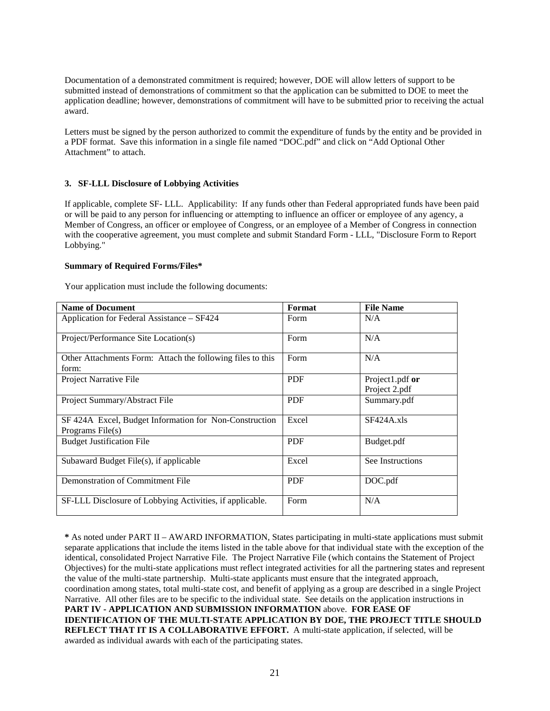Documentation of a demonstrated commitment is required; however, DOE will allow letters of support to be submitted instead of demonstrations of commitment so that the application can be submitted to DOE to meet the application deadline; however, demonstrations of commitment will have to be submitted prior to receiving the actual award.

Letters must be signed by the person authorized to commit the expenditure of funds by the entity and be provided in a PDF format. Save this information in a single file named "DOC.pdf" and click on "Add Optional Other Attachment" to attach.

#### <span id="page-21-0"></span>**3. SF-LLL Disclosure of Lobbying Activities**

If applicable, complete SF- LLL. Applicability: If any funds other than Federal appropriated funds have been paid or will be paid to any person for influencing or attempting to influence an officer or employee of any agency, a Member of Congress, an officer or employee of Congress, or an employee of a Member of Congress in connection with the cooperative agreement, you must complete and submit Standard Form - LLL, "Disclosure Form to Report Lobbying."

#### <span id="page-21-1"></span>**Summary of Required Forms/Files\***

Your application must include the following documents:

| <b>Name of Document</b>                                                    | Format     | <b>File Name</b>                 |
|----------------------------------------------------------------------------|------------|----------------------------------|
| Application for Federal Assistance – SF424                                 | Form       | N/A                              |
| Project/Performance Site Location(s)                                       | Form       | N/A                              |
| Other Attachments Form: Attach the following files to this<br>form:        | Form       | N/A                              |
| Project Narrative File                                                     | <b>PDF</b> | Project1.pdf or<br>Project 2.pdf |
| Project Summary/Abstract File                                              | <b>PDF</b> | Summary.pdf                      |
| SF 424A Excel, Budget Information for Non-Construction<br>Programs File(s) | Excel      | $SF424A$ .xls                    |
| <b>Budget Justification File</b>                                           | <b>PDF</b> | Budget.pdf                       |
| Subaward Budget File(s), if applicable                                     | Excel      | See Instructions                 |
| Demonstration of Commitment File                                           | <b>PDF</b> | DOC.pdf                          |
| SF-LLL Disclosure of Lobbying Activities, if applicable.                   | Form       | N/A                              |

**\*** As noted under PART II – AWARD INFORMATION, States participating in multi-state applications must submit separate applications that include the items listed in the table above for that individual state with the exception of the identical, consolidated Project Narrative File. The Project Narrative File (which contains the Statement of Project Objectives) for the multi-state applications must reflect integrated activities for all the partnering states and represent the value of the multi-state partnership. Multi-state applicants must ensure that the integrated approach, coordination among states, total multi-state cost, and benefit of applying as a group are described in a single Project Narrative. All other files are to be specific to the individual state. See details on the application instructions in **PART IV - APPLICATION AND SUBMISSION INFORMATION** above. **FOR EASE OF IDENTIFICATION OF THE MULTI-STATE APPLICATION BY DOE, THE PROJECT TITLE SHOULD REFLECT THAT IT IS A COLLABORATIVE EFFORT.** A multi-state application, if selected, will be awarded as individual awards with each of the participating states.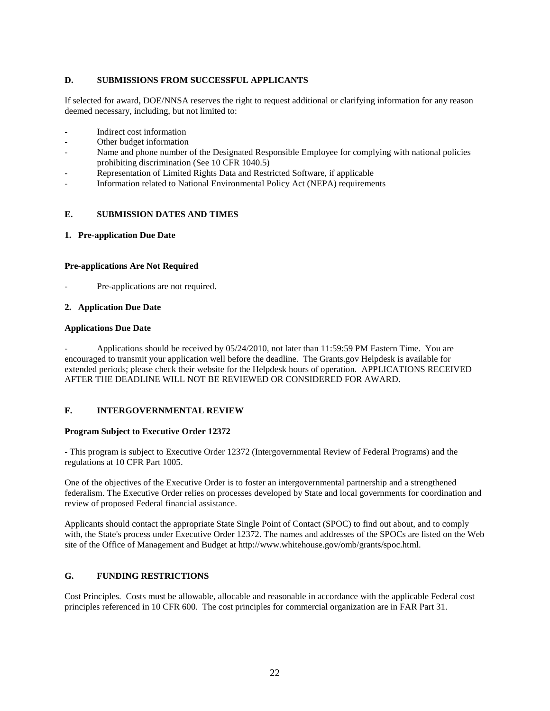# <span id="page-22-0"></span>**D. SUBMISSIONS FROM SUCCESSFUL APPLICANTS**

If selected for award, DOE/NNSA reserves the right to request additional or clarifying information for any reason deemed necessary, including, but not limited to:

- Indirect cost information
- Other budget information
- Name and phone number of the Designated Responsible Employee for complying with national policies prohibiting discrimination (See 10 CFR 1040.5)
- Representation of Limited Rights Data and Restricted Software, if applicable
- Information related to National Environmental Policy Act (NEPA) requirements

#### <span id="page-22-1"></span>**E. SUBMISSION DATES AND TIMES**

<span id="page-22-2"></span>**1. Pre-application Due Date**

#### **Pre-applications Are Not Required**

Pre-applications are not required.

#### <span id="page-22-3"></span>**2. Application Due Date**

#### **Applications Due Date**

- Applications should be received by 05/24/2010, not later than 11:59:59 PM Eastern Time. You are encouraged to transmit your application well before the deadline. The Grants.gov Helpdesk is available for extended periods; please check their website for the Helpdesk hours of operation. APPLICATIONS RECEIVED AFTER THE DEADLINE WILL NOT BE REVIEWED OR CONSIDERED FOR AWARD.

# <span id="page-22-4"></span>**F. INTERGOVERNMENTAL REVIEW**

#### **Program Subject to Executive Order 12372**

- This program is subject to Executive Order 12372 (Intergovernmental Review of Federal Programs) and the regulations at 10 CFR Part 1005.

One of the objectives of the Executive Order is to foster an intergovernmental partnership and a strengthened federalism. The Executive Order relies on processes developed by State and local governments for coordination and review of proposed Federal financial assistance.

Applicants should contact the appropriate State Single Point of Contact (SPOC) to find out about, and to comply with, the State's process under Executive Order 12372. The names and addresses of the SPOCs are listed on the Web site of the Office of Management and Budget at http://www.whitehouse.gov/omb/grants/spoc.html.

# <span id="page-22-5"></span>**G. FUNDING RESTRICTIONS**

Cost Principles. Costs must be allowable, allocable and reasonable in accordance with the applicable Federal cost principles referenced in 10 CFR 600. The cost principles for commercial organization are in FAR Part 31.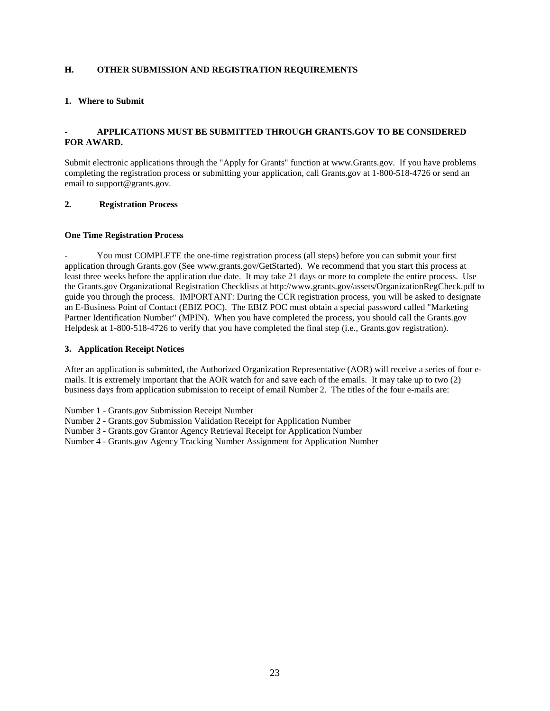# <span id="page-23-0"></span>**H. OTHER SUBMISSION AND REGISTRATION REQUIREMENTS**

### <span id="page-23-1"></span>**1. Where to Submit**

# **- APPLICATIONS MUST BE SUBMITTED THROUGH GRANTS.GOV TO BE CONSIDERED FOR AWARD.**

Submit electronic applications through the "Apply for Grants" function at www.Grants.gov. If you have problems completing the registration process or submitting your application, call Grants.gov at 1-800-518-4726 or send an email to support@grants.gov.

#### <span id="page-23-2"></span>**2. Registration Process**

#### **One Time Registration Process**

You must COMPLETE the one-time registration process (all steps) before you can submit your first application through Grants.gov (See www.grants.gov/GetStarted). We recommend that you start this process at least three weeks before the application due date. It may take 21 days or more to complete the entire process. Use the Grants.gov Organizational Registration Checklists at http://www.grants.gov/assets/OrganizationRegCheck.pdf to guide you through the process. IMPORTANT: During the CCR registration process, you will be asked to designate an E-Business Point of Contact (EBIZ POC). The EBIZ POC must obtain a special password called "Marketing Partner Identification Number" (MPIN). When you have completed the process, you should call the Grants.gov Helpdesk at 1-800-518-4726 to verify that you have completed the final step (i.e., Grants.gov registration).

#### <span id="page-23-3"></span>**3. Application Receipt Notices**

After an application is submitted, the Authorized Organization Representative (AOR) will receive a series of four emails. It is extremely important that the AOR watch for and save each of the emails. It may take up to two (2) business days from application submission to receipt of email Number 2. The titles of the four e-mails are:

Number 1 - Grants.gov Submission Receipt Number

Number 2 - Grants.gov Submission Validation Receipt for Application Number

Number 3 - Grants.gov Grantor Agency Retrieval Receipt for Application Number

Number 4 - Grants.gov Agency Tracking Number Assignment for Application Number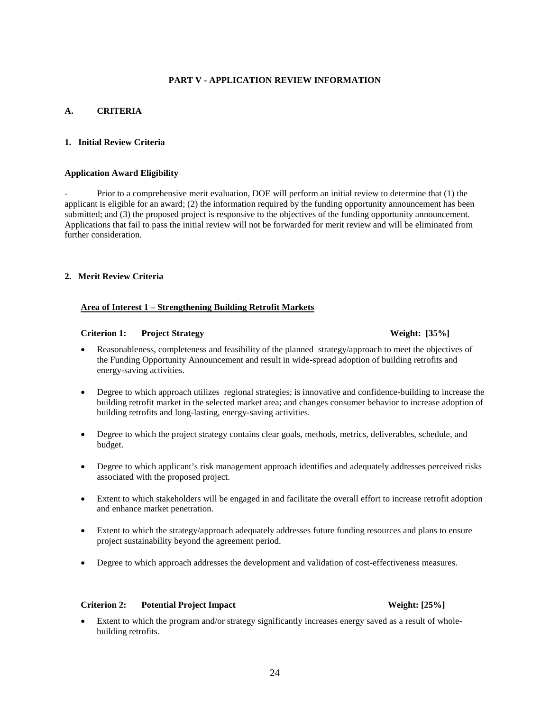# **PART V - APPLICATION REVIEW INFORMATION**

# <span id="page-24-1"></span><span id="page-24-0"></span>**A. CRITERIA**

# <span id="page-24-2"></span>**1. Initial Review Criteria**

### <span id="page-24-3"></span>**Application Award Eligibility**

- Prior to a comprehensive merit evaluation, DOE will perform an initial review to determine that (1) the applicant is eligible for an award; (2) the information required by the funding opportunity announcement has been submitted; and (3) the proposed project is responsive to the objectives of the funding opportunity announcement. Applications that fail to pass the initial review will not be forwarded for merit review and will be eliminated from further consideration.

# <span id="page-24-4"></span>**2. Merit Review Criteria**

### **Area of Interest 1 – Strengthening Building Retrofit Markets**

#### **Criterion 1: Project Strategy Weight: [35%]**

- Reasonableness, completeness and feasibility of the planned strategy/approach to meet the objectives of the Funding Opportunity Announcement and result in wide-spread adoption of building retrofits and energy-saving activities.
- Degree to which approach utilizes regional strategies; is innovative and confidence-building to increase the building retrofit market in the selected market area; and changes consumer behavior to increase adoption of building retrofits and long-lasting, energy-saving activities.
- Degree to which the project strategy contains clear goals, methods, metrics, deliverables, schedule, and budget.
- Degree to which applicant's risk management approach identifies and adequately addresses perceived risks associated with the proposed project.
- Extent to which stakeholders will be engaged in and facilitate the overall effort to increase retrofit adoption and enhance market penetration.
- Extent to which the strategy/approach adequately addresses future funding resources and plans to ensure project sustainability beyond the agreement period.
- Degree to which approach addresses the development and validation of cost-effectiveness measures.

# **Criterion 2: Potential Project Impact Weight: [25%]**

Extent to which the program and/or strategy significantly increases energy saved as a result of wholebuilding retrofits.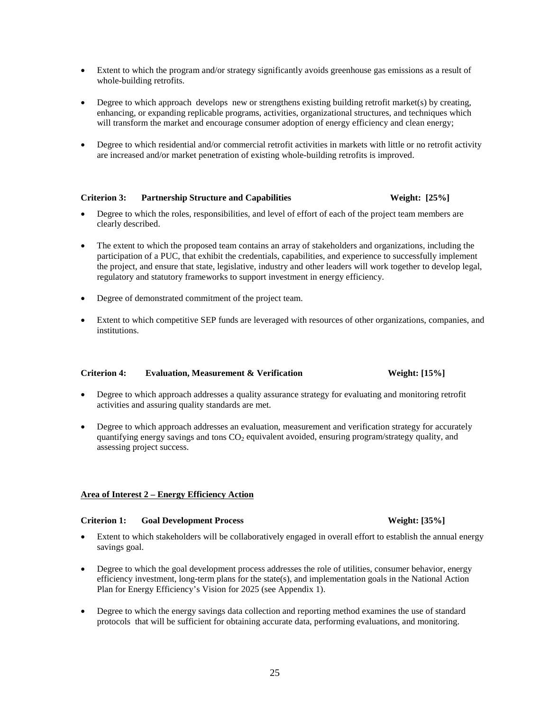- Extent to which the program and/or strategy significantly avoids greenhouse gas emissions as a result of whole-building retrofits.
- Degree to which approach develops new or strengthens existing building retrofit market(s) by creating, enhancing, or expanding replicable programs, activities, organizational structures, and techniques which will transform the market and encourage consumer adoption of energy efficiency and clean energy;
- Degree to which residential and/or commercial retrofit activities in markets with little or no retrofit activity are increased and/or market penetration of existing whole-building retrofits is improved.

# **Criterion 3: Partnership Structure and Capabilities Weight: [25%]**

- Degree to which the roles, responsibilities, and level of effort of each of the project team members are clearly described.
- The extent to which the proposed team contains an array of stakeholders and organizations, including the participation of a PUC, that exhibit the credentials, capabilities, and experience to successfully implement the project, and ensure that state, legislative, industry and other leaders will work together to develop legal, regulatory and statutory frameworks to support investment in energy efficiency.
- Degree of demonstrated commitment of the project team.
- Extent to which competitive SEP funds are leveraged with resources of other organizations, companies, and institutions.

#### **Criterion 4: Evaluation, Measurement & Verification Weight: [15%]**

- Degree to which approach addresses a quality assurance strategy for evaluating and monitoring retrofit activities and assuring quality standards are met.
- Degree to which approach addresses an evaluation, measurement and verification strategy for accurately quantifying energy savings and tons  $CO<sub>2</sub>$  equivalent avoided, ensuring program/strategy quality, and assessing project success.

#### **Area of Interest 2 – Energy Efficiency Action**

#### **Criterion 1: Goal Development Process Weight: [35%]**

- Extent to which stakeholders will be collaboratively engaged in overall effort to establish the annual energy savings goal.
- Degree to which the goal development process addresses the role of utilities, consumer behavior, energy efficiency investment, long-term plans for the state(s), and implementation goals in the National Action Plan for Energy Efficiency's Vision for 2025 (see Appendix 1).
- Degree to which the energy savings data collection and reporting method examines the use of standard protocols that will be sufficient for obtaining accurate data, performing evaluations, and monitoring.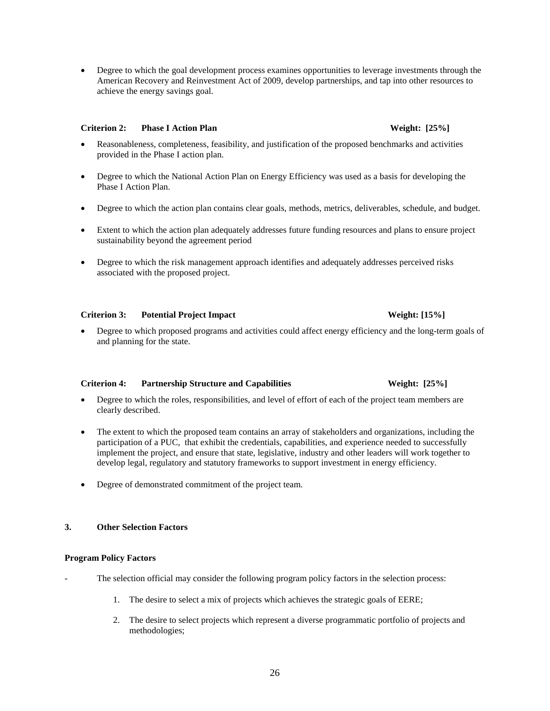• Degree to which the goal development process examines opportunities to leverage investments through the American Recovery and Reinvestment Act of 2009, develop partnerships, and tap into other resources to achieve the energy savings goal.

# **Criterion 2: Phase I Action Plan Weight: [25%]**

- Reasonableness, completeness, feasibility, and justification of the proposed benchmarks and activities provided in the Phase I action plan.
- Degree to which the National Action Plan on Energy Efficiency was used as a basis for developing the Phase I Action Plan.
- Degree to which the action plan contains clear goals, methods, metrics, deliverables, schedule, and budget.
- Extent to which the action plan adequately addresses future funding resources and plans to ensure project sustainability beyond the agreement period
- Degree to which the risk management approach identifies and adequately addresses perceived risks associated with the proposed project.

# **Criterion 3: Potential Project Impact Weight: [15%]**

• Degree to which proposed programs and activities could affect energy efficiency and the long-term goals of and planning for the state.

# **Criterion 4: Partnership Structure and Capabilities Weight: [25%]**

- Degree to which the roles, responsibilities, and level of effort of each of the project team members are clearly described.
- The extent to which the proposed team contains an array of stakeholders and organizations, including the participation of a PUC, that exhibit the credentials, capabilities, and experience needed to successfully implement the project, and ensure that state, legislative, industry and other leaders will work together to develop legal, regulatory and statutory frameworks to support investment in energy efficiency.
- Degree of demonstrated commitment of the project team.

# <span id="page-26-0"></span>**3. Other Selection Factors**

# <span id="page-26-1"></span>**Program Policy Factors**

- The selection official may consider the following program policy factors in the selection process:
	- 1. The desire to select a mix of projects which achieves the strategic goals of EERE;
	- 2. The desire to select projects which represent a diverse programmatic portfolio of projects and methodologies;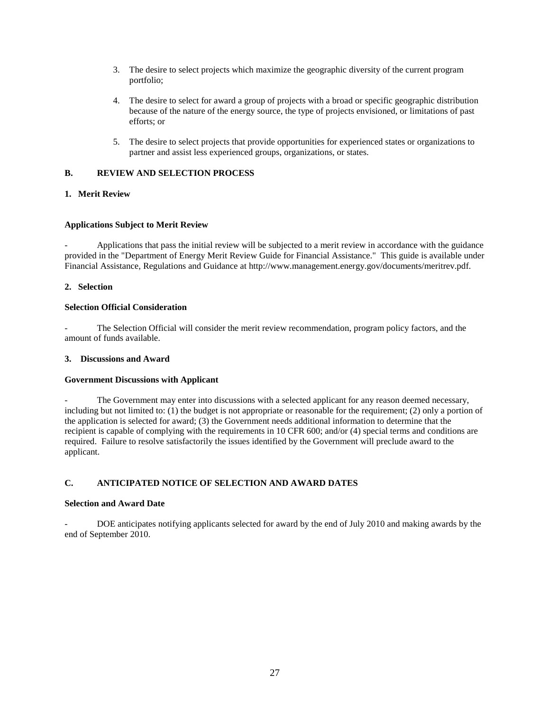- 3. The desire to select projects which maximize the geographic diversity of the current program portfolio;
- 4. The desire to select for award a group of projects with a broad or specific geographic distribution because of the nature of the energy source, the type of projects envisioned, or limitations of past efforts; or
- 5. The desire to select projects that provide opportunities for experienced states or organizations to partner and assist less experienced groups, organizations, or states.

### <span id="page-27-0"></span>**B. REVIEW AND SELECTION PROCESS**

# <span id="page-27-1"></span>**1. Merit Review**

#### <span id="page-27-2"></span>**Applications Subject to Merit Review**

Applications that pass the initial review will be subjected to a merit review in accordance with the guidance provided in the "Department of Energy Merit Review Guide for Financial Assistance." This guide is available under Financial Assistance, Regulations and Guidance at http://www.management.energy.gov/documents/meritrev.pdf.

#### <span id="page-27-3"></span>**2. Selection**

#### <span id="page-27-4"></span>**Selection Official Consideration**

The Selection Official will consider the merit review recommendation, program policy factors, and the amount of funds available.

#### <span id="page-27-5"></span>**3. Discussions and Award**

#### <span id="page-27-6"></span>**Government Discussions with Applicant**

The Government may enter into discussions with a selected applicant for any reason deemed necessary, including but not limited to: (1) the budget is not appropriate or reasonable for the requirement; (2) only a portion of the application is selected for award; (3) the Government needs additional information to determine that the recipient is capable of complying with the requirements in 10 CFR 600; and/or (4) special terms and conditions are required. Failure to resolve satisfactorily the issues identified by the Government will preclude award to the applicant.

# <span id="page-27-7"></span>**C. ANTICIPATED NOTICE OF SELECTION AND AWARD DATES**

#### <span id="page-27-8"></span>**Selection and Award Date**

DOE anticipates notifying applicants selected for award by the end of July 2010 and making awards by the end of September 2010.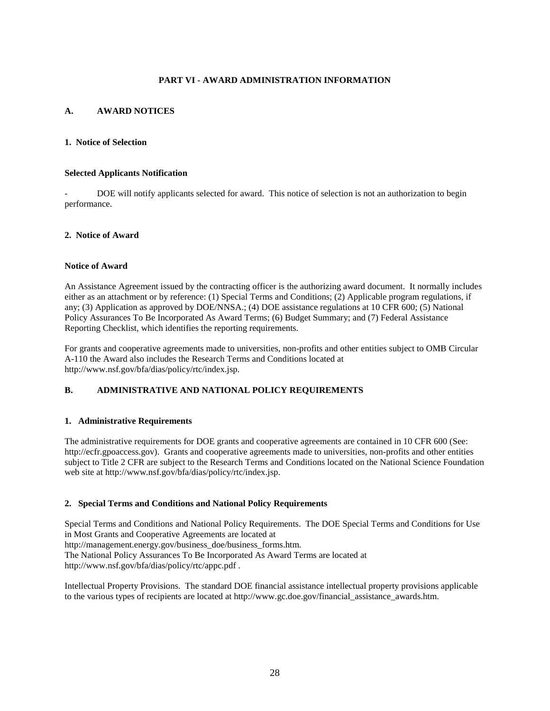# **PART VI - AWARD ADMINISTRATION INFORMATION**

# <span id="page-28-1"></span><span id="page-28-0"></span>**A. AWARD NOTICES**

### <span id="page-28-2"></span>**1. Notice of Selection**

#### <span id="page-28-3"></span>**Selected Applicants Notification**

DOE will notify applicants selected for award. This notice of selection is not an authorization to begin performance.

#### <span id="page-28-4"></span>**2. Notice of Award**

#### <span id="page-28-5"></span>**Notice of Award**

An Assistance Agreement issued by the contracting officer is the authorizing award document. It normally includes either as an attachment or by reference: (1) Special Terms and Conditions; (2) Applicable program regulations, if any; (3) Application as approved by DOE/NNSA.; (4) DOE assistance regulations at 10 CFR 600; (5) National Policy Assurances To Be Incorporated As Award Terms; (6) Budget Summary; and (7) Federal Assistance Reporting Checklist, which identifies the reporting requirements.

For grants and cooperative agreements made to universities, non-profits and other entities subject to OMB Circular A-110 the Award also includes the Research Terms and Conditions located at http://www.nsf.gov/bfa/dias/policy/rtc/index.jsp.

# <span id="page-28-6"></span>**B. ADMINISTRATIVE AND NATIONAL POLICY REQUIREMENTS**

#### <span id="page-28-7"></span>**1. Administrative Requirements**

The administrative requirements for DOE grants and cooperative agreements are contained in 10 CFR 600 (See: http://ecfr.gpoaccess.gov). Grants and cooperative agreements made to universities, non-profits and other entities subject to Title 2 CFR are subject to the Research Terms and Conditions located on the National Science Foundation web site at http://www.nsf.gov/bfa/dias/policy/rtc/index.jsp.

# <span id="page-28-8"></span>**2. Special Terms and Conditions and National Policy Requirements**

Special Terms and Conditions and National Policy Requirements. The DOE Special Terms and Conditions for Use in Most Grants and Cooperative Agreements are located at http://management.energy.gov/business\_doe/business\_forms.htm. The National Policy Assurances To Be Incorporated As Award Terms are located at http://www.nsf.gov/bfa/dias/policy/rtc/appc.pdf .

Intellectual Property Provisions. The standard DOE financial assistance intellectual property provisions applicable to the various types of recipients are located at http://www.gc.doe.gov/financial\_assistance\_awards.htm.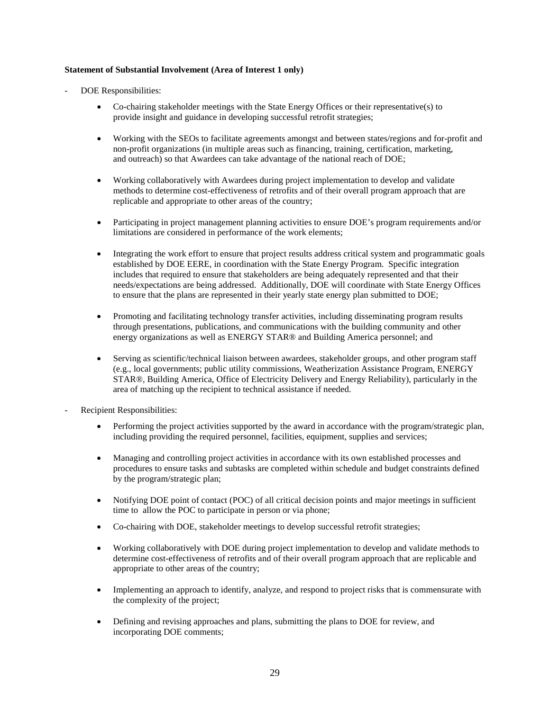# <span id="page-29-0"></span>**Statement of Substantial Involvement (Area of Interest 1 only)**

- DOE Responsibilities:
	- Co-chairing stakeholder meetings with the State Energy Offices or their representative(s) to provide insight and guidance in developing successful retrofit strategies;
	- Working with the SEOs to facilitate agreements amongst and between states/regions and for-profit and non-profit organizations (in multiple areas such as financing, training, certification, marketing, and outreach) so that Awardees can take advantage of the national reach of DOE;
	- Working collaboratively with Awardees during project implementation to develop and validate methods to determine cost-effectiveness of retrofits and of their overall program approach that are replicable and appropriate to other areas of the country;
	- Participating in project management planning activities to ensure DOE's program requirements and/or limitations are considered in performance of the work elements;
	- Integrating the work effort to ensure that project results address critical system and programmatic goals established by DOE EERE, in coordination with the State Energy Program. Specific integration includes that required to ensure that stakeholders are being adequately represented and that their needs/expectations are being addressed. Additionally, DOE will coordinate with State Energy Offices to ensure that the plans are represented in their yearly state energy plan submitted to DOE;
	- Promoting and facilitating technology transfer activities, including disseminating program results through presentations, publications, and communications with the building community and other energy organizations as well as ENERGY STAR® and Building America personnel; and
	- Serving as scientific/technical liaison between awardees, stakeholder groups, and other program staff (e.g., local governments; public utility commissions, Weatherization Assistance Program, ENERGY STAR®, Building America, Office of Electricity Delivery and Energy Reliability), particularly in the area of matching up the recipient to technical assistance if needed.
- Recipient Responsibilities:
	- Performing the project activities supported by the award in accordance with the program/strategic plan, including providing the required personnel, facilities, equipment, supplies and services;
	- Managing and controlling project activities in accordance with its own established processes and procedures to ensure tasks and subtasks are completed within schedule and budget constraints defined by the program/strategic plan;
	- Notifying DOE point of contact (POC) of all critical decision points and major meetings in sufficient time to allow the POC to participate in person or via phone;
	- Co-chairing with DOE, stakeholder meetings to develop successful retrofit strategies;
	- Working collaboratively with DOE during project implementation to develop and validate methods to determine cost-effectiveness of retrofits and of their overall program approach that are replicable and appropriate to other areas of the country;
	- Implementing an approach to identify, analyze, and respond to project risks that is commensurate with the complexity of the project;
	- Defining and revising approaches and plans, submitting the plans to DOE for review, and incorporating DOE comments;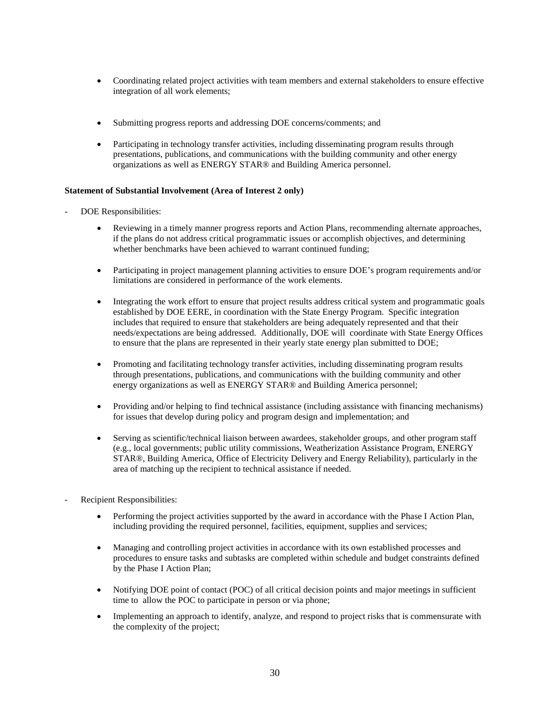- Coordinating related project activities with team members and external stakeholders to ensure effective integration of all work elements;
- Submitting progress reports and addressing DOE concerns/comments; and
- Participating in technology transfer activities, including disseminating program results through presentations, publications, and communications with the building community and other energy organizations as well as ENERGY STAR® and Building America personnel.

#### <span id="page-30-0"></span>**Statement of Substantial Involvement (Area of Interest 2 only)**

- DOE Responsibilities:
	- Reviewing in a timely manner progress reports and Action Plans, recommending alternate approaches, if the plans do not address critical programmatic issues or accomplish objectives, and determining whether benchmarks have been achieved to warrant continued funding;
	- Participating in project management planning activities to ensure DOE's program requirements and/or limitations are considered in performance of the work elements.
	- Integrating the work effort to ensure that project results address critical system and programmatic goals established by DOE EERE, in coordination with the State Energy Program. Specific integration includes that required to ensure that stakeholders are being adequately represented and that their needs/expectations are being addressed. Additionally, DOE will coordinate with State Energy Offices to ensure that the plans are represented in their yearly state energy plan submitted to DOE;
	- Promoting and facilitating technology transfer activities, including disseminating program results through presentations, publications, and communications with the building community and other energy organizations as well as ENERGY STAR® and Building America personnel;
	- Providing and/or helping to find technical assistance (including assistance with financing mechanisms) for issues that develop during policy and program design and implementation; and
	- Serving as scientific/technical liaison between awardees, stakeholder groups, and other program staff (e.g., local governments; public utility commissions, Weatherization Assistance Program, ENERGY STAR®, Building America, Office of Electricity Delivery and Energy Reliability), particularly in the area of matching up the recipient to technical assistance if needed.
- Recipient Responsibilities:
	- Performing the project activities supported by the award in accordance with the Phase I Action Plan, including providing the required personnel, facilities, equipment, supplies and services;
	- Managing and controlling project activities in accordance with its own established processes and procedures to ensure tasks and subtasks are completed within schedule and budget constraints defined by the Phase I Action Plan;
	- Notifying DOE point of contact (POC) of all critical decision points and major meetings in sufficient time to allow the POC to participate in person or via phone;
	- Implementing an approach to identify, analyze, and respond to project risks that is commensurate with the complexity of the project;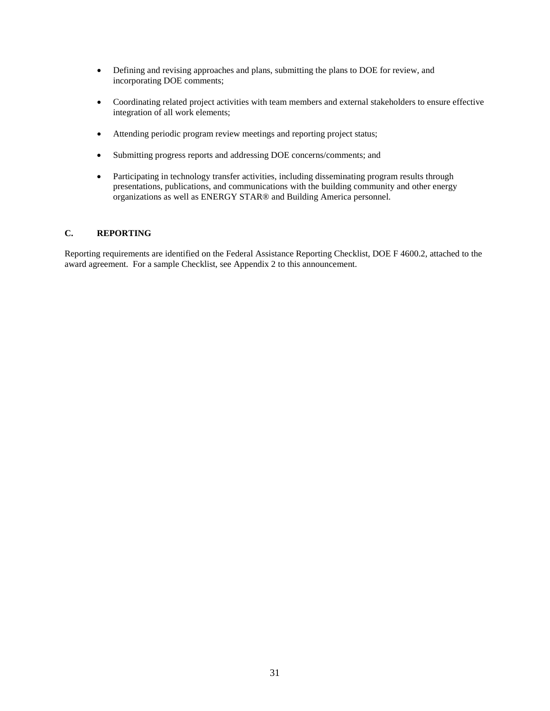- Defining and revising approaches and plans, submitting the plans to DOE for review, and incorporating DOE comments;
- Coordinating related project activities with team members and external stakeholders to ensure effective integration of all work elements;
- Attending periodic program review meetings and reporting project status;
- Submitting progress reports and addressing DOE concerns/comments; and
- Participating in technology transfer activities, including disseminating program results through presentations, publications, and communications with the building community and other energy organizations as well as ENERGY STAR® and Building America personnel.

# <span id="page-31-0"></span>**C. REPORTING**

Reporting requirements are identified on the Federal Assistance Reporting Checklist, DOE F 4600.2, attached to the award agreement. For a sample Checklist, see Appendix 2 to this announcement.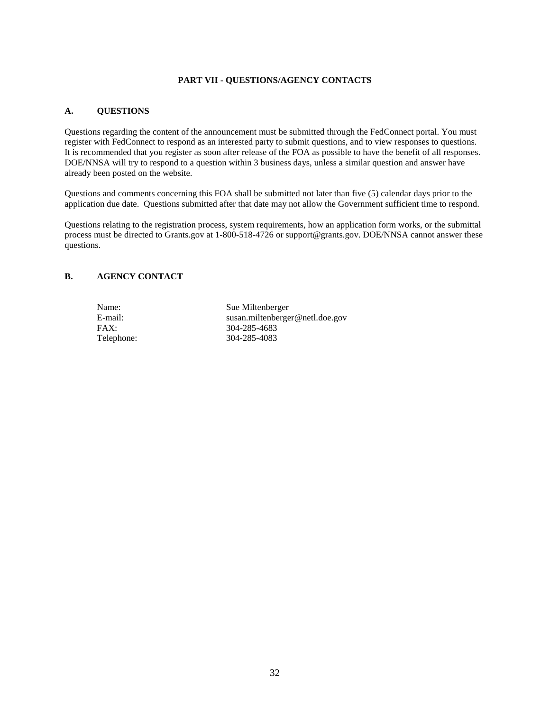# **PART VII - QUESTIONS/AGENCY CONTACTS**

# <span id="page-32-1"></span><span id="page-32-0"></span>**A. QUESTIONS**

Questions regarding the content of the announcement must be submitted through the FedConnect portal. You must register with FedConnect to respond as an interested party to submit questions, and to view responses to questions. It is recommended that you register as soon after release of the FOA as possible to have the benefit of all responses. DOE/NNSA will try to respond to a question within 3 business days, unless a similar question and answer have already been posted on the website.

Questions and comments concerning this FOA shall be submitted not later than five (5) calendar days prior to the application due date. Questions submitted after that date may not allow the Government sufficient time to respond.

Questions relating to the registration process, system requirements, how an application form works, or the submittal process must be directed to Grants.gov at 1-800-518-4726 or support@grants.gov. DOE/NNSA cannot answer these questions.

# <span id="page-32-2"></span>**B. AGENCY CONTACT**

Name: Sue Miltenberger<br>E-mail: Susan.miltenberge E-mail: susan.miltenberger@netl.doe.gov<br>
FAX: 304-285-4683 304-285-4683 Telephone: 304-285-4083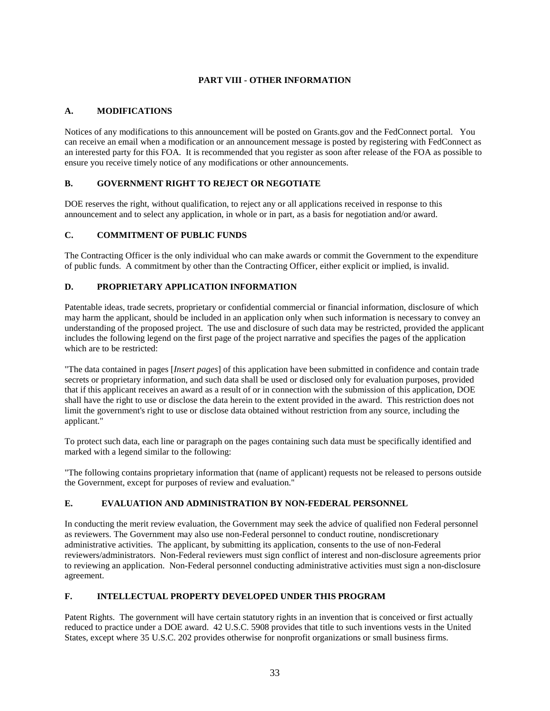# **PART VIII - OTHER INFORMATION**

# <span id="page-33-1"></span><span id="page-33-0"></span>**A. MODIFICATIONS**

Notices of any modifications to this announcement will be posted on Grants.gov and the FedConnect portal. You can receive an email when a modification or an announcement message is posted by registering with FedConnect as an interested party for this FOA. It is recommended that you register as soon after release of the FOA as possible to ensure you receive timely notice of any modifications or other announcements.

# <span id="page-33-2"></span>**B. GOVERNMENT RIGHT TO REJECT OR NEGOTIATE**

DOE reserves the right, without qualification, to reject any or all applications received in response to this announcement and to select any application, in whole or in part, as a basis for negotiation and/or award.

# <span id="page-33-3"></span>**C. COMMITMENT OF PUBLIC FUNDS**

The Contracting Officer is the only individual who can make awards or commit the Government to the expenditure of public funds. A commitment by other than the Contracting Officer, either explicit or implied, is invalid.

# <span id="page-33-4"></span>**D. PROPRIETARY APPLICATION INFORMATION**

Patentable ideas, trade secrets, proprietary or confidential commercial or financial information, disclosure of which may harm the applicant, should be included in an application only when such information is necessary to convey an understanding of the proposed project. The use and disclosure of such data may be restricted, provided the applicant includes the following legend on the first page of the project narrative and specifies the pages of the application which are to be restricted:

"The data contained in pages [*Insert pages*] of this application have been submitted in confidence and contain trade secrets or proprietary information, and such data shall be used or disclosed only for evaluation purposes, provided that if this applicant receives an award as a result of or in connection with the submission of this application, DOE shall have the right to use or disclose the data herein to the extent provided in the award. This restriction does not limit the government's right to use or disclose data obtained without restriction from any source, including the applicant."

To protect such data, each line or paragraph on the pages containing such data must be specifically identified and marked with a legend similar to the following:

"The following contains proprietary information that (name of applicant) requests not be released to persons outside the Government, except for purposes of review and evaluation."

# <span id="page-33-5"></span>**E. EVALUATION AND ADMINISTRATION BY NON-FEDERAL PERSONNEL**

In conducting the merit review evaluation, the Government may seek the advice of qualified non Federal personnel as reviewers. The Government may also use non-Federal personnel to conduct routine, nondiscretionary administrative activities. The applicant, by submitting its application, consents to the use of non-Federal reviewers/administrators. Non-Federal reviewers must sign conflict of interest and non-disclosure agreements prior to reviewing an application. Non-Federal personnel conducting administrative activities must sign a non-disclosure agreement.

# <span id="page-33-6"></span>**F. INTELLECTUAL PROPERTY DEVELOPED UNDER THIS PROGRAM**

Patent Rights. The government will have certain statutory rights in an invention that is conceived or first actually reduced to practice under a DOE award. 42 U.S.C. 5908 provides that title to such inventions vests in the United States, except where 35 U.S.C. 202 provides otherwise for nonprofit organizations or small business firms.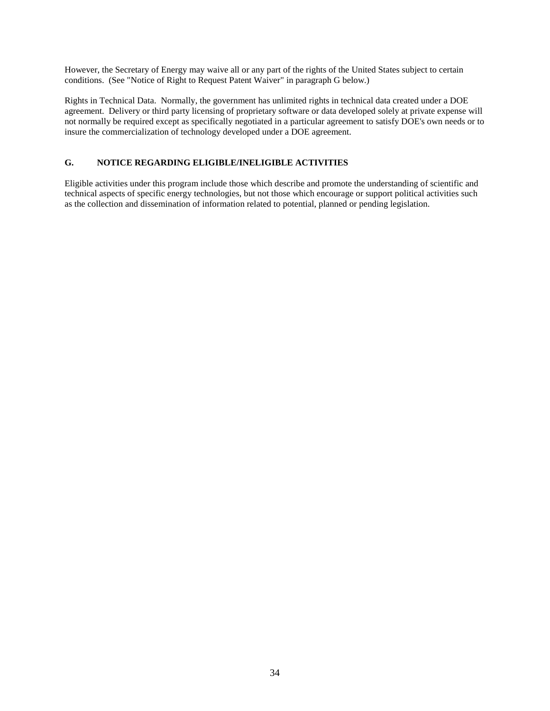However, the Secretary of Energy may waive all or any part of the rights of the United States subject to certain conditions. (See "Notice of Right to Request Patent Waiver" in paragraph G below.)

Rights in Technical Data. Normally, the government has unlimited rights in technical data created under a DOE agreement. Delivery or third party licensing of proprietary software or data developed solely at private expense will not normally be required except as specifically negotiated in a particular agreement to satisfy DOE's own needs or to insure the commercialization of technology developed under a DOE agreement.

# <span id="page-34-0"></span>**G. NOTICE REGARDING ELIGIBLE/INELIGIBLE ACTIVITIES**

Eligible activities under this program include those which describe and promote the understanding of scientific and technical aspects of specific energy technologies, but not those which encourage or support political activities such as the collection and dissemination of information related to potential, planned or pending legislation.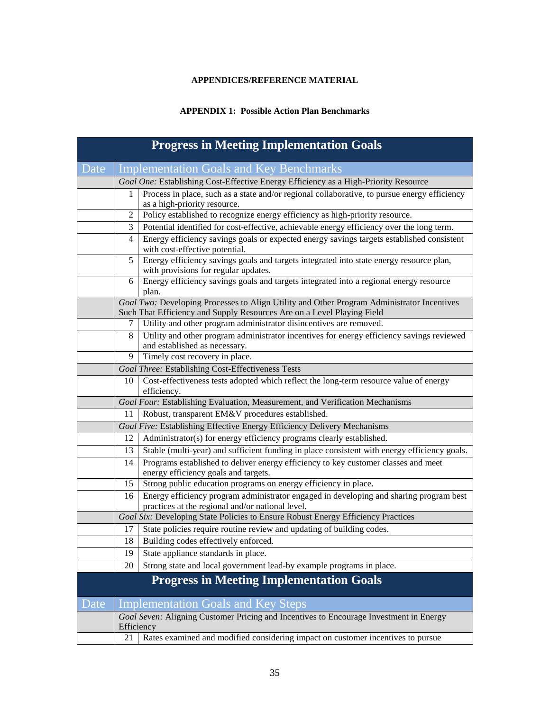# **APPENDICES/REFERENCE MATERIAL**

# **APPENDIX 1: Possible Action Plan Benchmarks**

<span id="page-35-1"></span><span id="page-35-0"></span>

| <b>Progress in Meeting Implementation Goals</b> |                |                                                                                                                                                                      |  |
|-------------------------------------------------|----------------|----------------------------------------------------------------------------------------------------------------------------------------------------------------------|--|
| Date                                            |                | <b>Implementation Goals and Key Benchmarks</b>                                                                                                                       |  |
|                                                 |                | Goal One: Establishing Cost-Effective Energy Efficiency as a High-Priority Resource                                                                                  |  |
|                                                 | 1              | Process in place, such as a state and/or regional collaborative, to pursue energy efficiency                                                                         |  |
|                                                 |                | as a high-priority resource.                                                                                                                                         |  |
|                                                 | $\overline{2}$ | Policy established to recognize energy efficiency as high-priority resource.                                                                                         |  |
|                                                 | 3              | Potential identified for cost-effective, achievable energy efficiency over the long term.                                                                            |  |
|                                                 | 4              | Energy efficiency savings goals or expected energy savings targets established consistent<br>with cost-effective potential.                                          |  |
|                                                 | 5              | Energy efficiency savings goals and targets integrated into state energy resource plan,<br>with provisions for regular updates.                                      |  |
|                                                 | 6              | Energy efficiency savings goals and targets integrated into a regional energy resource<br>plan.                                                                      |  |
|                                                 |                | Goal Two: Developing Processes to Align Utility and Other Program Administrator Incentives<br>Such That Efficiency and Supply Resources Are on a Level Playing Field |  |
|                                                 | 7              | Utility and other program administrator disincentives are removed.                                                                                                   |  |
|                                                 | 8              | Utility and other program administrator incentives for energy efficiency savings reviewed                                                                            |  |
|                                                 |                | and established as necessary.                                                                                                                                        |  |
|                                                 | 9              | Timely cost recovery in place.                                                                                                                                       |  |
|                                                 |                | <b>Goal Three: Establishing Cost-Effectiveness Tests</b>                                                                                                             |  |
|                                                 | 10             | Cost-effectiveness tests adopted which reflect the long-term resource value of energy<br>efficiency.                                                                 |  |
|                                                 |                | Goal Four: Establishing Evaluation, Measurement, and Verification Mechanisms                                                                                         |  |
|                                                 | 11             | Robust, transparent EM&V procedures established.                                                                                                                     |  |
|                                                 |                | Goal Five: Establishing Effective Energy Efficiency Delivery Mechanisms                                                                                              |  |
|                                                 | 12             | Administrator(s) for energy efficiency programs clearly established.                                                                                                 |  |
|                                                 | 13             | Stable (multi-year) and sufficient funding in place consistent with energy efficiency goals.                                                                         |  |
|                                                 | 14             | Programs established to deliver energy efficiency to key customer classes and meet<br>energy efficiency goals and targets.                                           |  |
|                                                 | 15             | Strong public education programs on energy efficiency in place.                                                                                                      |  |
|                                                 | 16             | Energy efficiency program administrator engaged in developing and sharing program best<br>practices at the regional and/or national level.                           |  |
|                                                 |                | Goal Six: Developing State Policies to Ensure Robust Energy Efficiency Practices                                                                                     |  |
|                                                 | 17             | State policies require routine review and updating of building codes.                                                                                                |  |
|                                                 | 18             | Building codes effectively enforced.                                                                                                                                 |  |
|                                                 | 19             | State appliance standards in place.                                                                                                                                  |  |
|                                                 | 20             | Strong state and local government lead-by example programs in place.                                                                                                 |  |
| <b>Progress in Meeting Implementation Goals</b> |                |                                                                                                                                                                      |  |
| Date                                            |                | <b>Implementation Goals and Key Steps</b>                                                                                                                            |  |
|                                                 | Efficiency     | Goal Seven: Aligning Customer Pricing and Incentives to Encourage Investment in Energy                                                                               |  |
|                                                 | 21             | Rates examined and modified considering impact on customer incentives to pursue                                                                                      |  |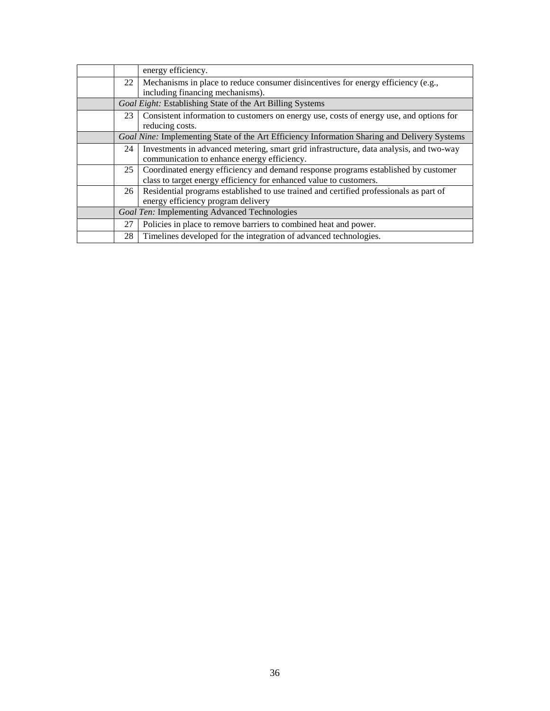|      | energy efficiency.                                                                           |
|------|----------------------------------------------------------------------------------------------|
| 22 l | Mechanisms in place to reduce consumer disincentives for energy efficiency (e.g.,            |
|      | including financing mechanisms).                                                             |
|      | Goal Eight: Establishing State of the Art Billing Systems                                    |
| 23   | Consistent information to customers on energy use, costs of energy use, and options for      |
|      | reducing costs.                                                                              |
|      | Goal Nine: Implementing State of the Art Efficiency Information Sharing and Delivery Systems |
| 24   | Investments in advanced metering, smart grid infrastructure, data analysis, and two-way      |
|      | communication to enhance energy efficiency.                                                  |
| 25   | Coordinated energy efficiency and demand response programs established by customer           |
|      | class to target energy efficiency for enhanced value to customers.                           |
| 26   | Residential programs established to use trained and certified professionals as part of       |
|      | energy efficiency program delivery                                                           |
|      | Goal Ten: Implementing Advanced Technologies                                                 |
| 27   | Policies in place to remove barriers to combined heat and power.                             |
| 28   | Timelines developed for the integration of advanced technologies.                            |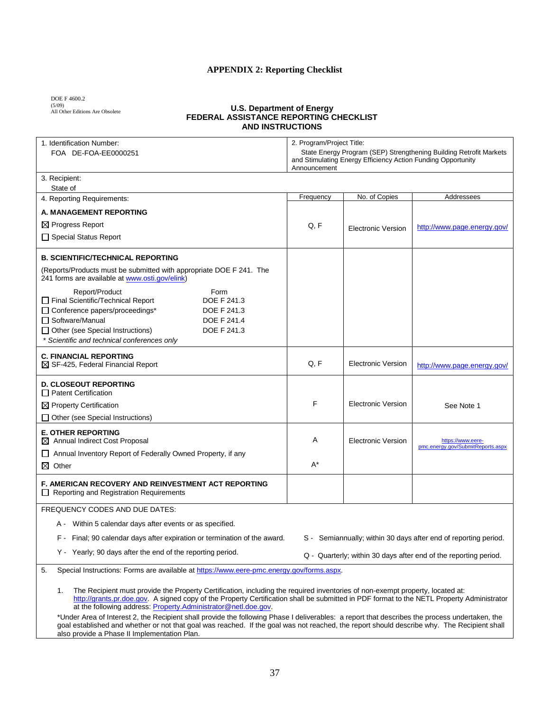# **APPENDIX 2: Reporting Checklist**

<span id="page-37-0"></span>DOE F 4600.2 (5/09) All Other Editions Are Obsolete

#### **U.S. Department of Energy FEDERAL ASSISTANCE REPORTING CHECKLIST AND INSTRUCTIONS**

| 1. Identification Number:<br>FOA DE-FOA-EE0000251                                                                                                                                                                                                                                                                                                  | 2. Program/Project Title:<br>State Energy Program (SEP) Strengthening Building Retrofit Markets<br>and Stimulating Energy Efficiency Action Funding Opportunity<br>Announcement |                           |                                                                 |
|----------------------------------------------------------------------------------------------------------------------------------------------------------------------------------------------------------------------------------------------------------------------------------------------------------------------------------------------------|---------------------------------------------------------------------------------------------------------------------------------------------------------------------------------|---------------------------|-----------------------------------------------------------------|
| 3. Recipient:                                                                                                                                                                                                                                                                                                                                      |                                                                                                                                                                                 |                           |                                                                 |
| State of<br>4. Reporting Requirements:                                                                                                                                                                                                                                                                                                             | Frequency                                                                                                                                                                       | No. of Copies             | Addressees                                                      |
| A. MANAGEMENT REPORTING                                                                                                                                                                                                                                                                                                                            |                                                                                                                                                                                 |                           |                                                                 |
| ⊠ Progress Report                                                                                                                                                                                                                                                                                                                                  | Q, F                                                                                                                                                                            |                           |                                                                 |
| □ Special Status Report                                                                                                                                                                                                                                                                                                                            |                                                                                                                                                                                 | <b>Electronic Version</b> | http://www.page.energy.gov/                                     |
|                                                                                                                                                                                                                                                                                                                                                    |                                                                                                                                                                                 |                           |                                                                 |
| <b>B. SCIENTIFIC/TECHNICAL REPORTING</b>                                                                                                                                                                                                                                                                                                           |                                                                                                                                                                                 |                           |                                                                 |
| (Reports/Products must be submitted with appropriate DOE F 241. The<br>241 forms are available at www.osti.gov/elink)                                                                                                                                                                                                                              |                                                                                                                                                                                 |                           |                                                                 |
| Report/Product<br>Form<br>Final Scientific/Technical Report<br>DOE F 241.3<br>□ Conference papers/proceedings*<br>DOE F 241.3<br>□ Software/Manual<br>DOE F 241.4<br>DOE F 241.3<br>$\Box$ Other (see Special Instructions)<br>Scientific and technical conferences only                                                                           |                                                                                                                                                                                 |                           |                                                                 |
| <b>C. FINANCIAL REPORTING</b><br>$\boxtimes$ SF-425, Federal Financial Report                                                                                                                                                                                                                                                                      | Q, F                                                                                                                                                                            | <b>Electronic Version</b> | http://www.page.energy.gov/                                     |
| <b>D. CLOSEOUT REPORTING</b><br>$\Box$ Patent Certification                                                                                                                                                                                                                                                                                        |                                                                                                                                                                                 |                           |                                                                 |
| $\boxtimes$ Property Certification                                                                                                                                                                                                                                                                                                                 | F                                                                                                                                                                               | <b>Electronic Version</b> | See Note 1                                                      |
| $\Box$ Other (see Special Instructions)                                                                                                                                                                                                                                                                                                            |                                                                                                                                                                                 |                           |                                                                 |
| <b>E. OTHER REPORTING</b><br>$\boxtimes$ Annual Indirect Cost Proposal                                                                                                                                                                                                                                                                             | A                                                                                                                                                                               | <b>Electronic Version</b> | https://www.eere-                                               |
| □ Annual Inventory Report of Federally Owned Property, if any                                                                                                                                                                                                                                                                                      |                                                                                                                                                                                 |                           | pmc.energy.gov/SubmitReports.aspx                               |
| $\boxtimes$ Other                                                                                                                                                                                                                                                                                                                                  | A*                                                                                                                                                                              |                           |                                                                 |
| F. AMERICAN RECOVERY AND REINVESTMENT ACT REPORTING<br>$\Box$ Reporting and Registration Requirements                                                                                                                                                                                                                                              |                                                                                                                                                                                 |                           |                                                                 |
| <b>FREQUENCY CODES AND DUE DATES:</b>                                                                                                                                                                                                                                                                                                              |                                                                                                                                                                                 |                           |                                                                 |
| A - Within 5 calendar days after events or as specified.                                                                                                                                                                                                                                                                                           |                                                                                                                                                                                 |                           |                                                                 |
| F - Final; 90 calendar days after expiration or termination of the award.                                                                                                                                                                                                                                                                          |                                                                                                                                                                                 |                           | S - Semiannually; within 30 days after end of reporting period. |
| Y - Yearly; 90 days after the end of the reporting period.                                                                                                                                                                                                                                                                                         | Q - Quarterly; within 30 days after end of the reporting period.                                                                                                                |                           |                                                                 |
| Special Instructions: Forms are available at https://www.eere-pmc.energy.gov/forms.aspx.<br>5.                                                                                                                                                                                                                                                     |                                                                                                                                                                                 |                           |                                                                 |
| The Recipient must provide the Property Certification, including the required inventories of non-exempt property, located at:<br>1.<br>http://grants.pr.doe.gov. A signed copy of the Property Certification shall be submitted in PDF format to the NETL Property Administrator<br>at the following address. Property.Administrator@netl.doe.gov. |                                                                                                                                                                                 |                           |                                                                 |

\*Under Area of Interest 2, the Recipient shall provide the following Phase I deliverables: a report that describes the process undertaken, the goal established and whether or not that goal was reached. If the goal was not reached, the report should describe why. The Recipient shall also provide a Phase II Implementation Plan.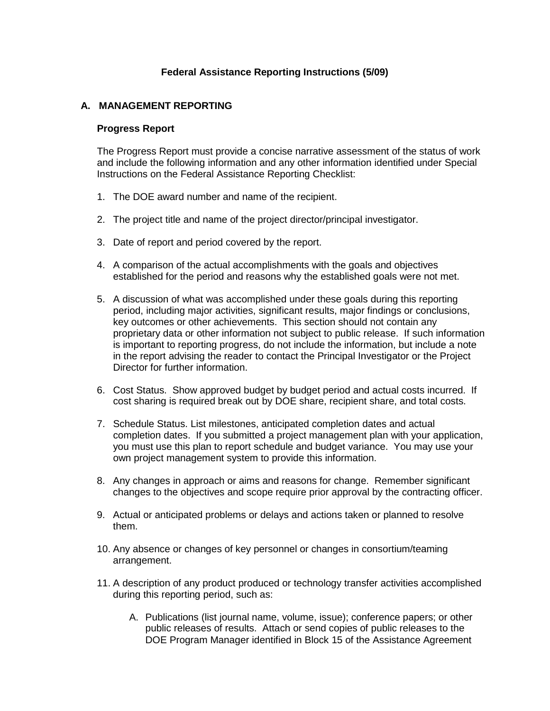# **Federal Assistance Reporting Instructions (5/09)**

# **A. MANAGEMENT REPORTING**

# **Progress Report**

The Progress Report must provide a concise narrative assessment of the status of work and include the following information and any other information identified under Special Instructions on the Federal Assistance Reporting Checklist:

- 1. The DOE award number and name of the recipient.
- 2. The project title and name of the project director/principal investigator.
- 3. Date of report and period covered by the report.
- 4. A comparison of the actual accomplishments with the goals and objectives established for the period and reasons why the established goals were not met.
- 5. A discussion of what was accomplished under these goals during this reporting period, including major activities, significant results, major findings or conclusions, key outcomes or other achievements. This section should not contain any proprietary data or other information not subject to public release. If such information is important to reporting progress, do not include the information, but include a note in the report advising the reader to contact the Principal Investigator or the Project Director for further information.
- 6. Cost Status. Show approved budget by budget period and actual costs incurred. If cost sharing is required break out by DOE share, recipient share, and total costs.
- 7. Schedule Status. List milestones, anticipated completion dates and actual completion dates. If you submitted a project management plan with your application, you must use this plan to report schedule and budget variance. You may use your own project management system to provide this information.
- 8. Any changes in approach or aims and reasons for change. Remember significant changes to the objectives and scope require prior approval by the contracting officer.
- 9. Actual or anticipated problems or delays and actions taken or planned to resolve them.
- 10. Any absence or changes of key personnel or changes in consortium/teaming arrangement.
- 11. A description of any product produced or technology transfer activities accomplished during this reporting period, such as:
	- A. Publications (list journal name, volume, issue); conference papers; or other public releases of results. Attach or send copies of public releases to the DOE Program Manager identified in Block 15 of the Assistance Agreement